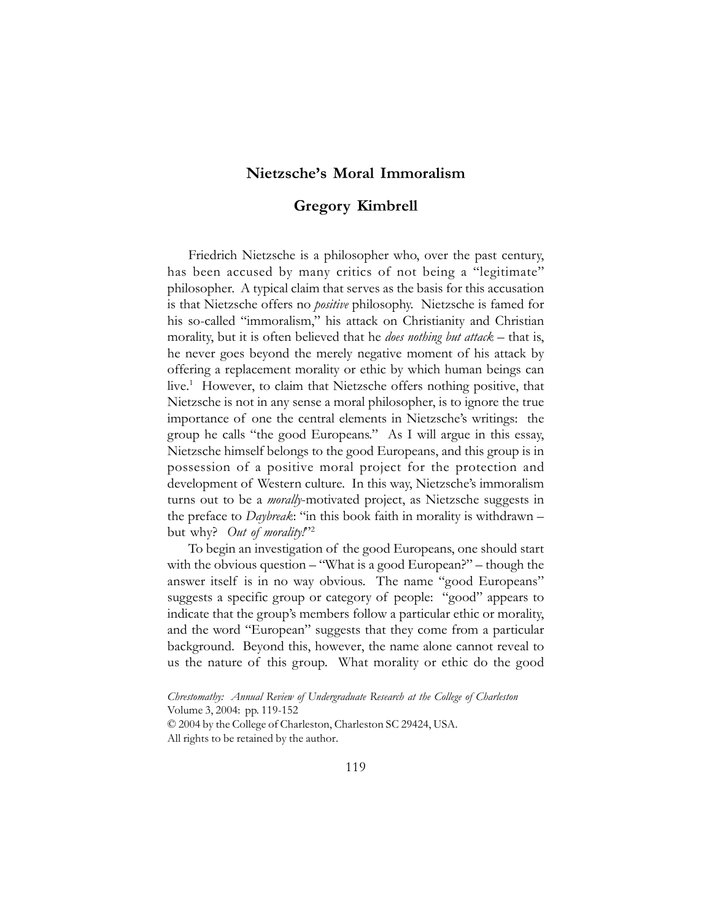# **Nietzsche's Moral Immoralism**

## **Gregory Kimbrell**

Friedrich Nietzsche is a philosopher who, over the past century, has been accused by many critics of not being a "legitimate" philosopher. A typical claim that serves as the basis for this accusation is that Nietzsche offers no *positive* philosophy. Nietzsche is famed for his so-called "immoralism," his attack on Christianity and Christian morality, but it is often believed that he *does nothing but attack* – that is, he never goes beyond the merely negative moment of his attack by offering a replacement morality or ethic by which human beings can live.1 However, to claim that Nietzsche offers nothing positive, that Nietzsche is not in any sense a moral philosopher, is to ignore the true importance of one the central elements in Nietzsche's writings: the group he calls "the good Europeans." As I will argue in this essay, Nietzsche himself belongs to the good Europeans, and this group is in possession of a positive moral project for the protection and development of Western culture. In this way, Nietzsche's immoralism turns out to be a *morally*-motivated project, as Nietzsche suggests in the preface to *Daybreak*: "in this book faith in morality is withdrawn – but why? Out of morality.<sup>"2</sup>

To begin an investigation of the good Europeans, one should start with the obvious question – "What is a good European?" – though the answer itself is in no way obvious. The name "good Europeans" suggests a specific group or category of people: "good" appears to indicate that the group's members follow a particular ethic or morality, and the word "European" suggests that they come from a particular background. Beyond this, however, the name alone cannot reveal to us the nature of this group. What morality or ethic do the good

*Chrestomathy: Annual Review of Undergraduate Research at the College of Charleston* Volume 3, 2004: pp. 119-152 © 2004 by the College of Charleston, Charleston SC 29424, USA. All rights to be retained by the author.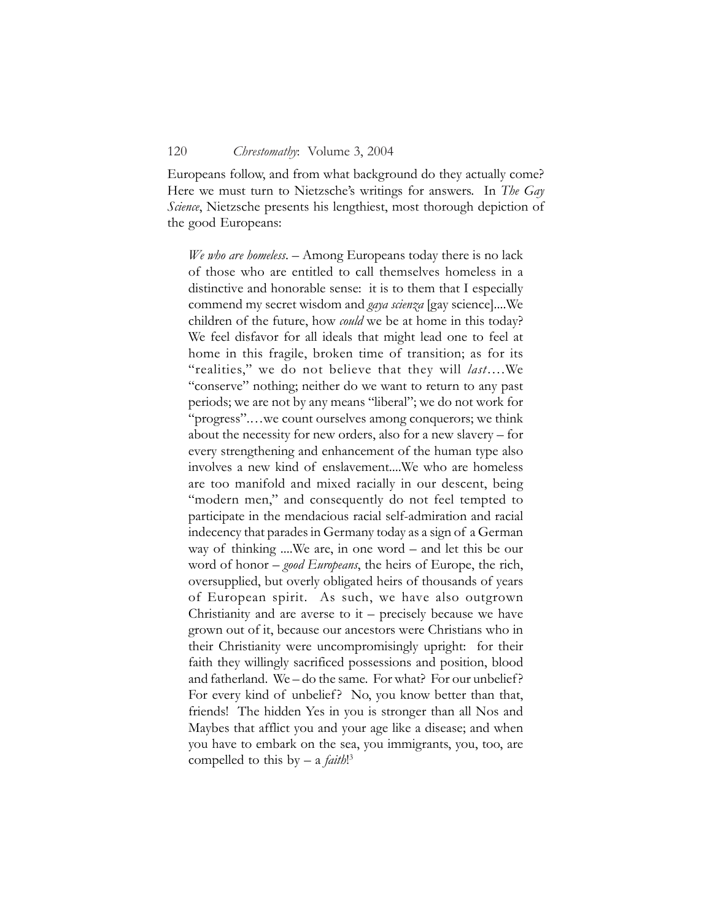Europeans follow, and from what background do they actually come? Here we must turn to Nietzsche's writings for answers. In *The Gay Science*, Nietzsche presents his lengthiest, most thorough depiction of the good Europeans:

*We who are homeless*. – Among Europeans today there is no lack of those who are entitled to call themselves homeless in a distinctive and honorable sense: it is to them that I especially commend my secret wisdom and *gaya scienza* [gay science]....We children of the future, how *could* we be at home in this today? We feel disfavor for all ideals that might lead one to feel at home in this fragile, broken time of transition; as for its "realities," we do not believe that they will *last*….We "conserve" nothing; neither do we want to return to any past periods; we are not by any means "liberal"; we do not work for "progress".…we count ourselves among conquerors; we think about the necessity for new orders, also for a new slavery – for every strengthening and enhancement of the human type also involves a new kind of enslavement....We who are homeless are too manifold and mixed racially in our descent, being "modern men," and consequently do not feel tempted to participate in the mendacious racial self-admiration and racial indecency that parades in Germany today as a sign of a German way of thinking ....We are, in one word – and let this be our word of honor – *good Europeans*, the heirs of Europe, the rich, oversupplied, but overly obligated heirs of thousands of years of European spirit. As such, we have also outgrown Christianity and are averse to it – precisely because we have grown out of it, because our ancestors were Christians who in their Christianity were uncompromisingly upright: for their faith they willingly sacrificed possessions and position, blood and fatherland. We – do the same. For what? For our unbelief? For every kind of unbelief? No, you know better than that, friends! The hidden Yes in you is stronger than all Nos and Maybes that afflict you and your age like a disease; and when you have to embark on the sea, you immigrants, you, too, are compelled to this by – a *faith*! 3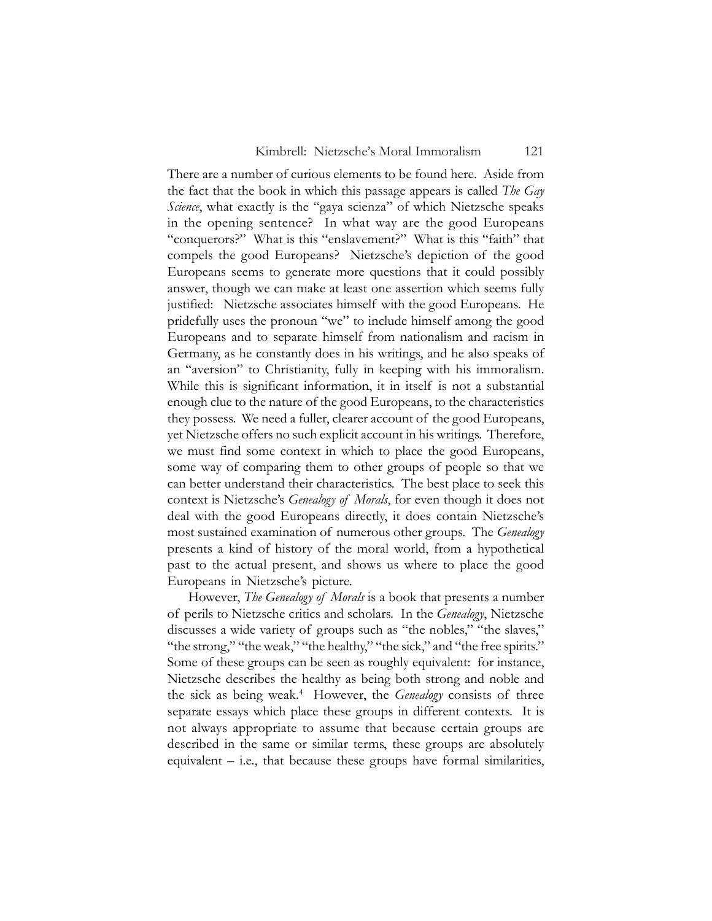There are a number of curious elements to be found here. Aside from the fact that the book in which this passage appears is called *The Gay Science*, what exactly is the "gaya scienza" of which Nietzsche speaks in the opening sentence? In what way are the good Europeans "conquerors?" What is this "enslavement?" What is this "faith" that compels the good Europeans? Nietzsche's depiction of the good Europeans seems to generate more questions that it could possibly answer, though we can make at least one assertion which seems fully justified: Nietzsche associates himself with the good Europeans. He pridefully uses the pronoun "we" to include himself among the good Europeans and to separate himself from nationalism and racism in Germany, as he constantly does in his writings, and he also speaks of an "aversion" to Christianity, fully in keeping with his immoralism. While this is significant information, it in itself is not a substantial enough clue to the nature of the good Europeans, to the characteristics they possess. We need a fuller, clearer account of the good Europeans, yet Nietzsche offers no such explicit account in his writings. Therefore, we must find some context in which to place the good Europeans, some way of comparing them to other groups of people so that we can better understand their characteristics. The best place to seek this context is Nietzsche's *Genealogy of Morals*, for even though it does not deal with the good Europeans directly, it does contain Nietzsche's most sustained examination of numerous other groups. The *Genealogy* presents a kind of history of the moral world, from a hypothetical past to the actual present, and shows us where to place the good Europeans in Nietzsche's picture.

However, *The Genealogy of Morals* is a book that presents a number of perils to Nietzsche critics and scholars. In the *Genealogy*, Nietzsche discusses a wide variety of groups such as "the nobles," "the slaves," "the strong," "the weak," "the healthy," "the sick," and "the free spirits." Some of these groups can be seen as roughly equivalent: for instance, Nietzsche describes the healthy as being both strong and noble and the sick as being weak.<sup>4</sup> However, the *Genealogy* consists of three separate essays which place these groups in different contexts. It is not always appropriate to assume that because certain groups are described in the same or similar terms, these groups are absolutely equivalent – i.e., that because these groups have formal similarities,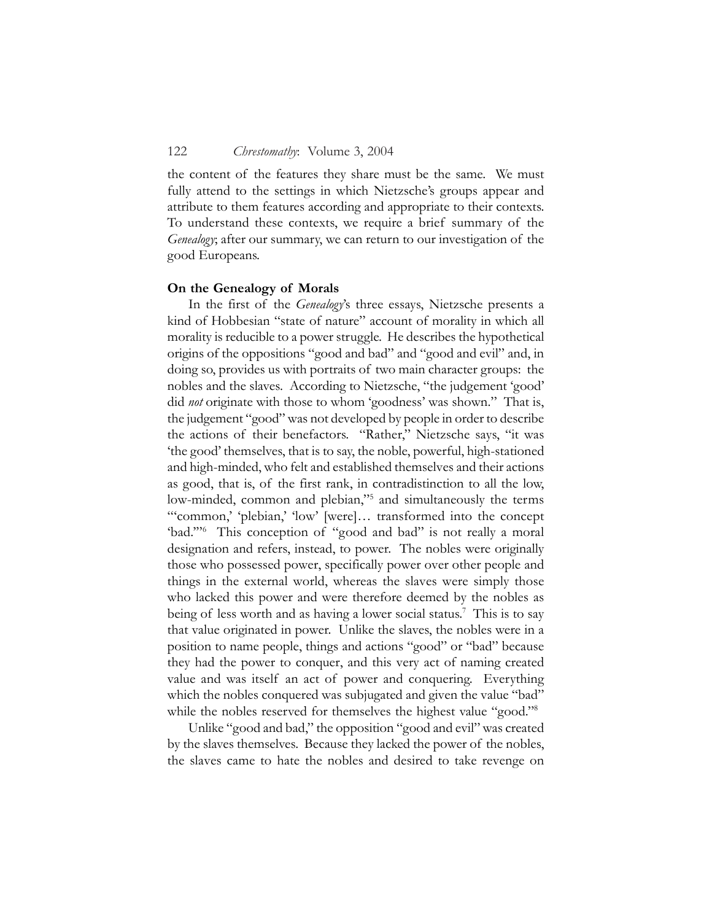the content of the features they share must be the same. We must fully attend to the settings in which Nietzsche's groups appear and attribute to them features according and appropriate to their contexts. To understand these contexts, we require a brief summary of the *Genealogy*; after our summary, we can return to our investigation of the good Europeans.

#### **On the Genealogy of Morals**

In the first of the *Genealogy*'s three essays, Nietzsche presents a kind of Hobbesian "state of nature" account of morality in which all morality is reducible to a power struggle. He describes the hypothetical origins of the oppositions "good and bad" and "good and evil" and, in doing so, provides us with portraits of two main character groups: the nobles and the slaves. According to Nietzsche, "the judgement 'good' did *not* originate with those to whom 'goodness' was shown." That is, the judgement "good" was not developed by people in order to describe the actions of their benefactors. "Rather," Nietzsche says, "it was 'the good' themselves, that is to say, the noble, powerful, high-stationed and high-minded, who felt and established themselves and their actions as good, that is, of the first rank, in contradistinction to all the low, low-minded, common and plebian,"<sup>5</sup> and simultaneously the terms "'common,' 'plebian,' 'low' [were]… transformed into the concept 'bad.'"6 This conception of "good and bad" is not really a moral designation and refers, instead, to power. The nobles were originally those who possessed power, specifically power over other people and things in the external world, whereas the slaves were simply those who lacked this power and were therefore deemed by the nobles as being of less worth and as having a lower social status.<sup>7</sup> This is to say that value originated in power. Unlike the slaves, the nobles were in a position to name people, things and actions "good" or "bad" because they had the power to conquer, and this very act of naming created value and was itself an act of power and conquering. Everything which the nobles conquered was subjugated and given the value "bad" while the nobles reserved for themselves the highest value "good."<sup>8</sup>

Unlike "good and bad," the opposition "good and evil" was created by the slaves themselves. Because they lacked the power of the nobles, the slaves came to hate the nobles and desired to take revenge on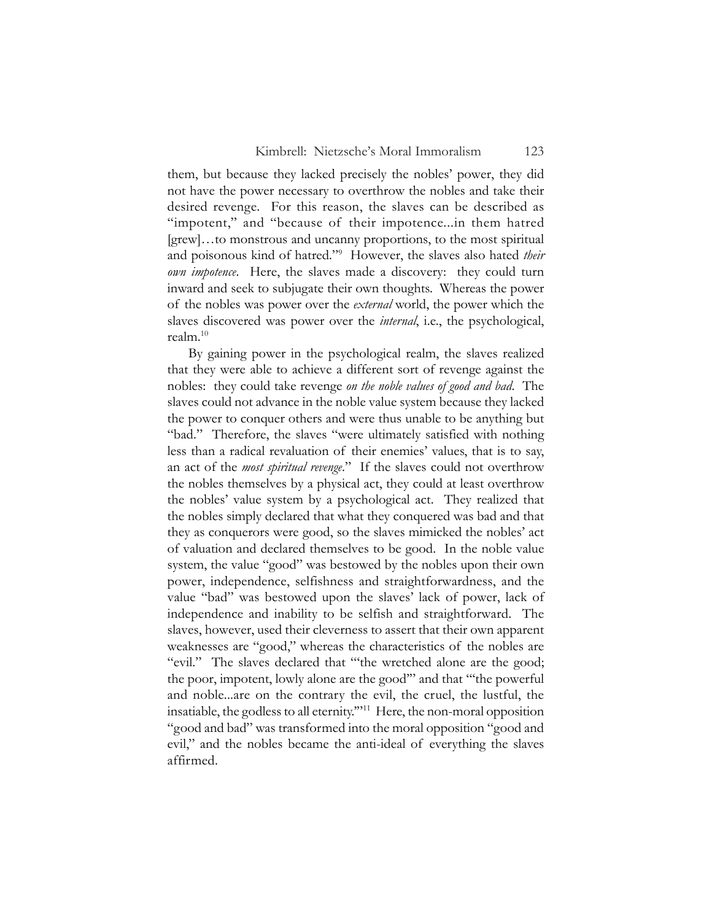them, but because they lacked precisely the nobles' power, they did not have the power necessary to overthrow the nobles and take their desired revenge. For this reason, the slaves can be described as "impotent," and "because of their impotence...in them hatred [grew]…to monstrous and uncanny proportions, to the most spiritual and poisonous kind of hatred."9 However, the slaves also hated *their own impotence*. Here, the slaves made a discovery: they could turn inward and seek to subjugate their own thoughts. Whereas the power of the nobles was power over the *external* world, the power which the slaves discovered was power over the *internal*, i.e., the psychological, realm.10

By gaining power in the psychological realm, the slaves realized that they were able to achieve a different sort of revenge against the nobles: they could take revenge *on the noble values of good and bad*. The slaves could not advance in the noble value system because they lacked the power to conquer others and were thus unable to be anything but "bad." Therefore, the slaves "were ultimately satisfied with nothing less than a radical revaluation of their enemies' values, that is to say, an act of the *most spiritual revenge*." If the slaves could not overthrow the nobles themselves by a physical act, they could at least overthrow the nobles' value system by a psychological act. They realized that the nobles simply declared that what they conquered was bad and that they as conquerors were good, so the slaves mimicked the nobles' act of valuation and declared themselves to be good. In the noble value system, the value "good" was bestowed by the nobles upon their own power, independence, selfishness and straightforwardness, and the value "bad" was bestowed upon the slaves' lack of power, lack of independence and inability to be selfish and straightforward. The slaves, however, used their cleverness to assert that their own apparent weaknesses are "good," whereas the characteristics of the nobles are "evil." The slaves declared that "'the wretched alone are the good; the poor, impotent, lowly alone are the good'" and that "'the powerful and noble...are on the contrary the evil, the cruel, the lustful, the insatiable, the godless to all eternity.'"11 Here, the non-moral opposition "good and bad" was transformed into the moral opposition "good and evil," and the nobles became the anti-ideal of everything the slaves affirmed.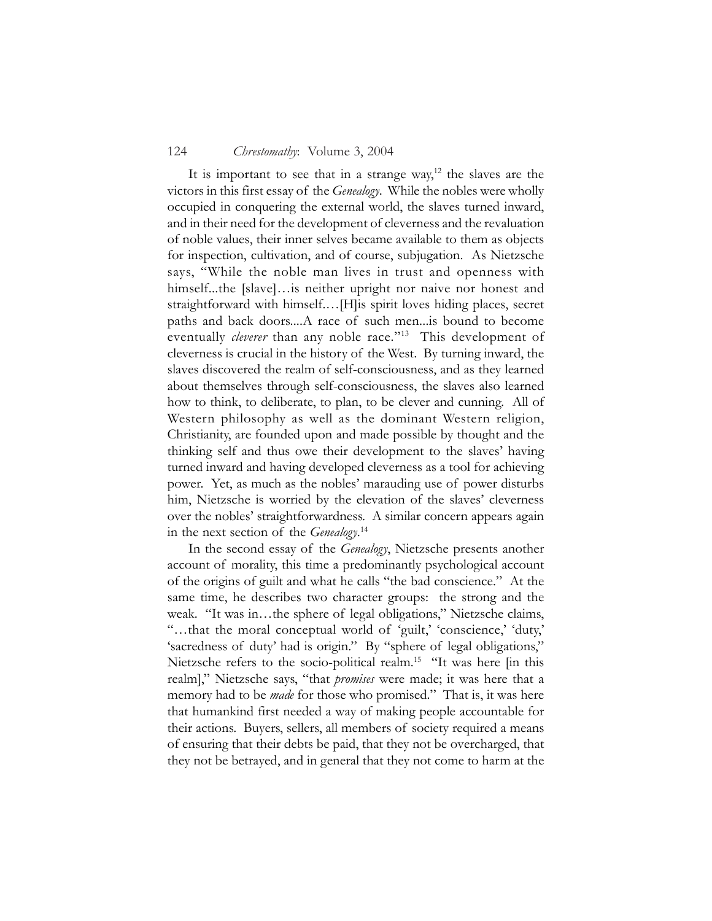It is important to see that in a strange  $way<sub>1</sub><sup>12</sup>$  the slaves are the victors in this first essay of the *Genealogy*. While the nobles were wholly occupied in conquering the external world, the slaves turned inward, and in their need for the development of cleverness and the revaluation of noble values, their inner selves became available to them as objects for inspection, cultivation, and of course, subjugation. As Nietzsche says, "While the noble man lives in trust and openness with himself...the [slave]…is neither upright nor naive nor honest and straightforward with himself.…[H]is spirit loves hiding places, secret paths and back doors....A race of such men...is bound to become eventually *cleverer* than any noble race."<sup>13</sup> This development of cleverness is crucial in the history of the West. By turning inward, the slaves discovered the realm of self-consciousness, and as they learned about themselves through self-consciousness, the slaves also learned how to think, to deliberate, to plan, to be clever and cunning. All of Western philosophy as well as the dominant Western religion, Christianity, are founded upon and made possible by thought and the thinking self and thus owe their development to the slaves' having turned inward and having developed cleverness as a tool for achieving power. Yet, as much as the nobles' marauding use of power disturbs him, Nietzsche is worried by the elevation of the slaves' cleverness over the nobles' straightforwardness. A similar concern appears again in the next section of the *Genealogy*. 14

In the second essay of the *Genealogy*, Nietzsche presents another account of morality, this time a predominantly psychological account of the origins of guilt and what he calls "the bad conscience." At the same time, he describes two character groups: the strong and the weak. "It was in…the sphere of legal obligations," Nietzsche claims, "…that the moral conceptual world of 'guilt,' 'conscience,' 'duty,' 'sacredness of duty' had is origin." By "sphere of legal obligations," Nietzsche refers to the socio-political realm.<sup>15</sup> "It was here [in this realm]," Nietzsche says, "that *promises* were made; it was here that a memory had to be *made* for those who promised." That is, it was here that humankind first needed a way of making people accountable for their actions. Buyers, sellers, all members of society required a means of ensuring that their debts be paid, that they not be overcharged, that they not be betrayed, and in general that they not come to harm at the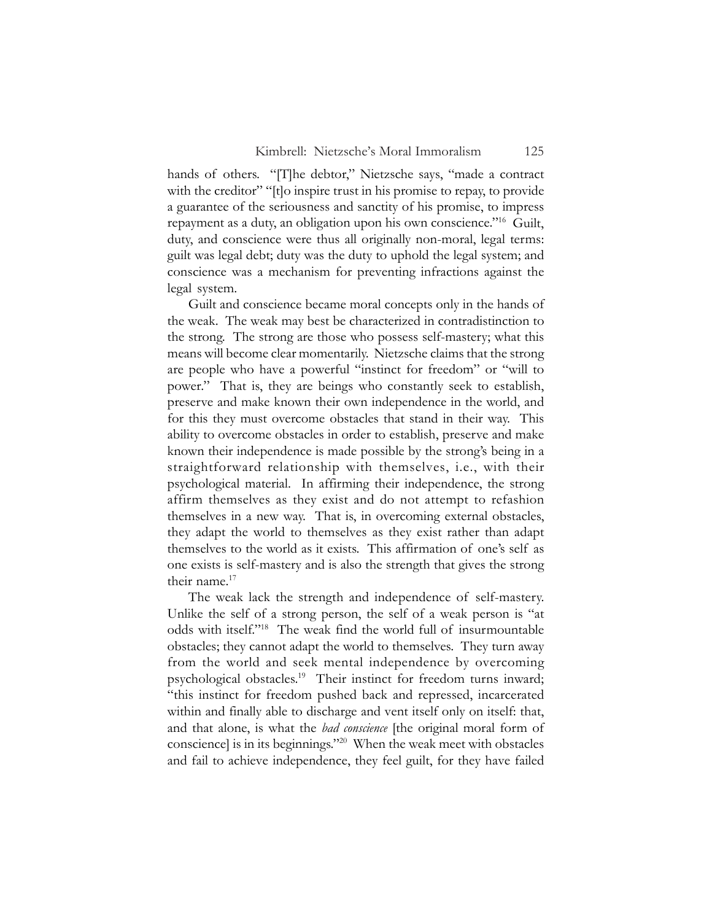hands of others. "[T]he debtor," Nietzsche says, "made a contract with the creditor" "[t]o inspire trust in his promise to repay, to provide a guarantee of the seriousness and sanctity of his promise, to impress repayment as a duty, an obligation upon his own conscience."16 Guilt, duty, and conscience were thus all originally non-moral, legal terms: guilt was legal debt; duty was the duty to uphold the legal system; and conscience was a mechanism for preventing infractions against the legal system.

Guilt and conscience became moral concepts only in the hands of the weak. The weak may best be characterized in contradistinction to the strong. The strong are those who possess self-mastery; what this means will become clear momentarily. Nietzsche claims that the strong are people who have a powerful "instinct for freedom" or "will to power." That is, they are beings who constantly seek to establish, preserve and make known their own independence in the world, and for this they must overcome obstacles that stand in their way. This ability to overcome obstacles in order to establish, preserve and make known their independence is made possible by the strong's being in a straightforward relationship with themselves, i.e., with their psychological material. In affirming their independence, the strong affirm themselves as they exist and do not attempt to refashion themselves in a new way. That is, in overcoming external obstacles, they adapt the world to themselves as they exist rather than adapt themselves to the world as it exists. This affirmation of one's self as one exists is self-mastery and is also the strength that gives the strong their name.<sup>17</sup>

The weak lack the strength and independence of self-mastery. Unlike the self of a strong person, the self of a weak person is "at odds with itself."18 The weak find the world full of insurmountable obstacles; they cannot adapt the world to themselves. They turn away from the world and seek mental independence by overcoming psychological obstacles.19 Their instinct for freedom turns inward; "this instinct for freedom pushed back and repressed, incarcerated within and finally able to discharge and vent itself only on itself: that, and that alone, is what the *bad conscience* [the original moral form of conscience] is in its beginnings."20 When the weak meet with obstacles and fail to achieve independence, they feel guilt, for they have failed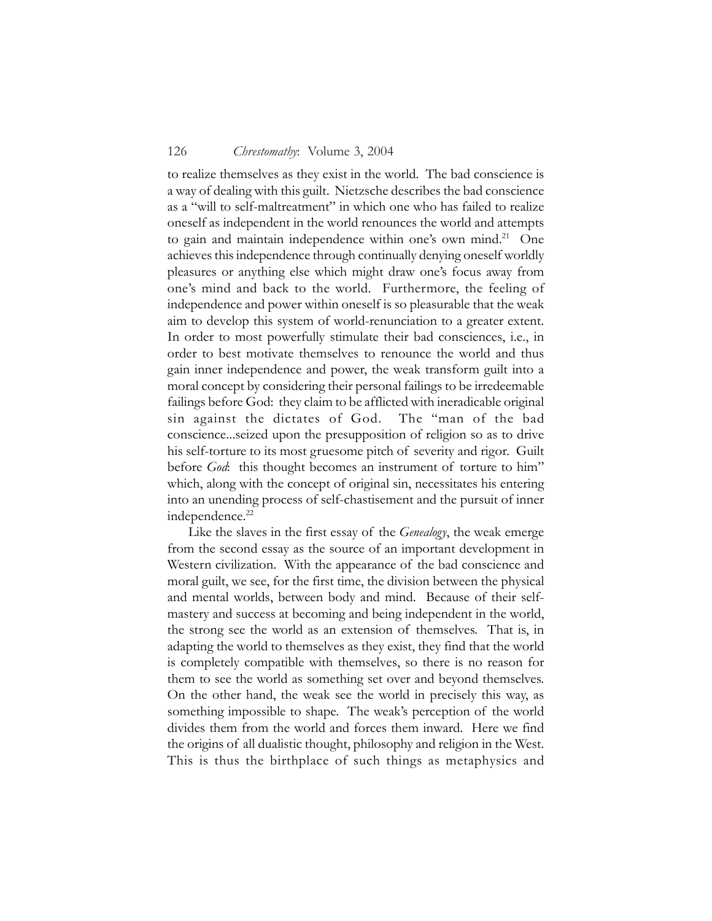to realize themselves as they exist in the world. The bad conscience is a way of dealing with this guilt. Nietzsche describes the bad conscience as a "will to self-maltreatment" in which one who has failed to realize oneself as independent in the world renounces the world and attempts to gain and maintain independence within one's own mind.<sup>21</sup> One achieves this independence through continually denying oneself worldly pleasures or anything else which might draw one's focus away from one's mind and back to the world. Furthermore, the feeling of independence and power within oneself is so pleasurable that the weak aim to develop this system of world-renunciation to a greater extent. In order to most powerfully stimulate their bad consciences, i.e., in order to best motivate themselves to renounce the world and thus gain inner independence and power, the weak transform guilt into a moral concept by considering their personal failings to be irredeemable failings before God: they claim to be afflicted with ineradicable original sin against the dictates of God. The "man of the bad conscience...seized upon the presupposition of religion so as to drive his self-torture to its most gruesome pitch of severity and rigor. Guilt before *God*: this thought becomes an instrument of torture to him" which, along with the concept of original sin, necessitates his entering into an unending process of self-chastisement and the pursuit of inner independence.<sup>22</sup>

Like the slaves in the first essay of the *Genealogy*, the weak emerge from the second essay as the source of an important development in Western civilization. With the appearance of the bad conscience and moral guilt, we see, for the first time, the division between the physical and mental worlds, between body and mind. Because of their selfmastery and success at becoming and being independent in the world, the strong see the world as an extension of themselves. That is, in adapting the world to themselves as they exist, they find that the world is completely compatible with themselves, so there is no reason for them to see the world as something set over and beyond themselves. On the other hand, the weak see the world in precisely this way, as something impossible to shape. The weak's perception of the world divides them from the world and forces them inward. Here we find the origins of all dualistic thought, philosophy and religion in the West. This is thus the birthplace of such things as metaphysics and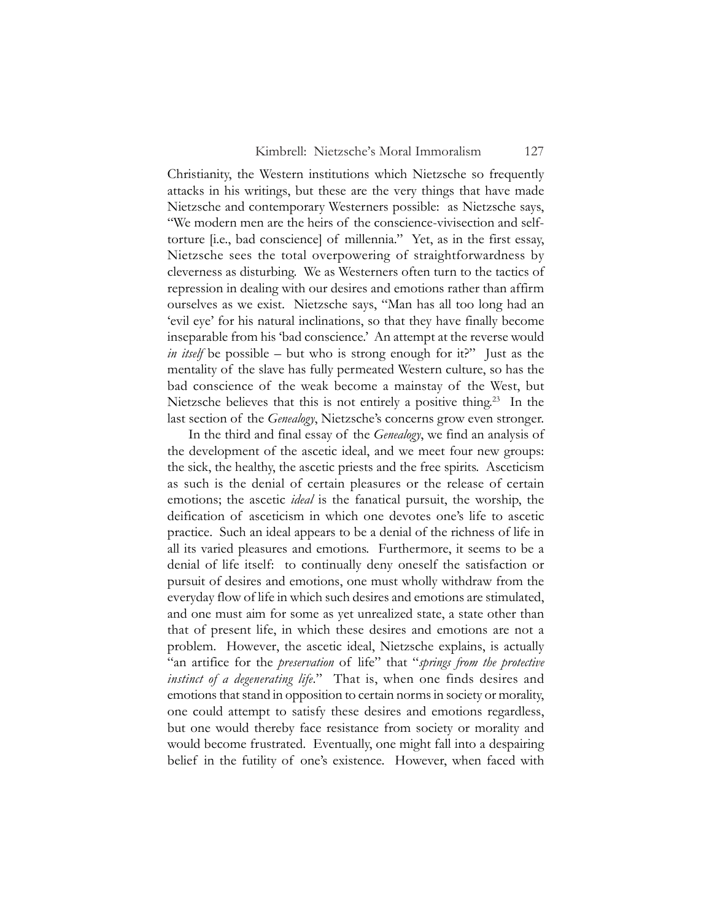Christianity, the Western institutions which Nietzsche so frequently attacks in his writings, but these are the very things that have made Nietzsche and contemporary Westerners possible: as Nietzsche says, "We modern men are the heirs of the conscience-vivisection and selftorture [i.e., bad conscience] of millennia." Yet, as in the first essay, Nietzsche sees the total overpowering of straightforwardness by cleverness as disturbing. We as Westerners often turn to the tactics of repression in dealing with our desires and emotions rather than affirm ourselves as we exist. Nietzsche says, "Man has all too long had an 'evil eye' for his natural inclinations, so that they have finally become inseparable from his 'bad conscience.' An attempt at the reverse would *in itself* be possible – but who is strong enough for it?" Just as the mentality of the slave has fully permeated Western culture, so has the bad conscience of the weak become a mainstay of the West, but Nietzsche believes that this is not entirely a positive thing.<sup>23</sup> In the last section of the *Genealogy*, Nietzsche's concerns grow even stronger.

In the third and final essay of the *Genealogy*, we find an analysis of the development of the ascetic ideal, and we meet four new groups: the sick, the healthy, the ascetic priests and the free spirits. Asceticism as such is the denial of certain pleasures or the release of certain emotions; the ascetic *ideal* is the fanatical pursuit, the worship, the deification of asceticism in which one devotes one's life to ascetic practice. Such an ideal appears to be a denial of the richness of life in all its varied pleasures and emotions. Furthermore, it seems to be a denial of life itself: to continually deny oneself the satisfaction or pursuit of desires and emotions, one must wholly withdraw from the everyday flow of life in which such desires and emotions are stimulated, and one must aim for some as yet unrealized state, a state other than that of present life, in which these desires and emotions are not a problem. However, the ascetic ideal, Nietzsche explains, is actually "an artifice for the *preservation* of life" that "*springs from the protective instinct of a degenerating life*." That is, when one finds desires and emotions that stand in opposition to certain norms in society or morality, one could attempt to satisfy these desires and emotions regardless, but one would thereby face resistance from society or morality and would become frustrated. Eventually, one might fall into a despairing belief in the futility of one's existence. However, when faced with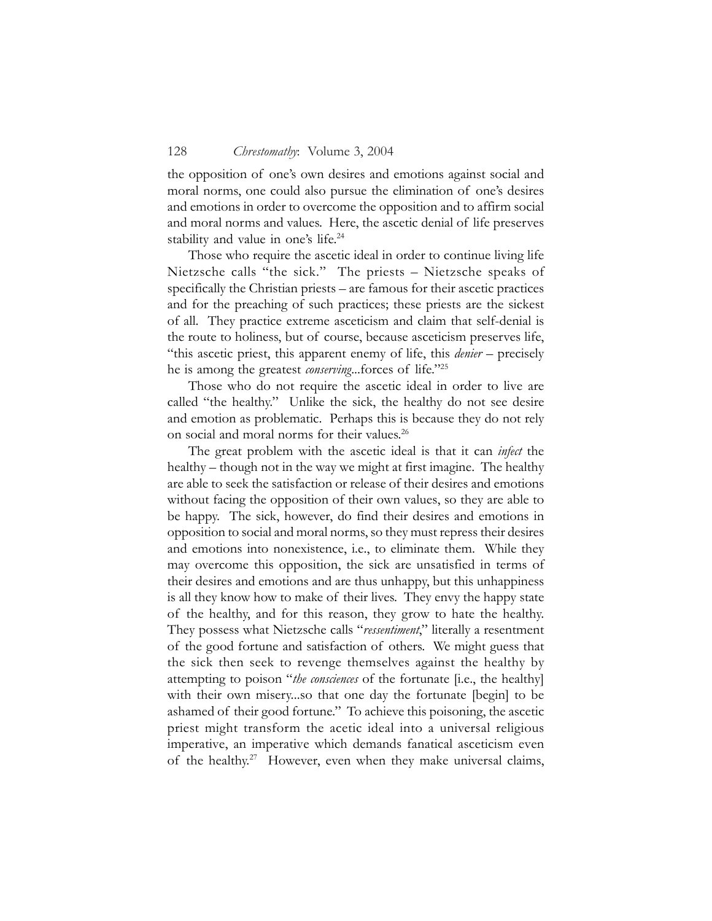the opposition of one's own desires and emotions against social and moral norms, one could also pursue the elimination of one's desires and emotions in order to overcome the opposition and to affirm social and moral norms and values. Here, the ascetic denial of life preserves stability and value in one's life.<sup>24</sup>

Those who require the ascetic ideal in order to continue living life Nietzsche calls "the sick." The priests – Nietzsche speaks of specifically the Christian priests – are famous for their ascetic practices and for the preaching of such practices; these priests are the sickest of all. They practice extreme asceticism and claim that self-denial is the route to holiness, but of course, because asceticism preserves life, "this ascetic priest, this apparent enemy of life, this *denier* – precisely he is among the greatest *conserving*...forces of life."25

Those who do not require the ascetic ideal in order to live are called "the healthy." Unlike the sick, the healthy do not see desire and emotion as problematic. Perhaps this is because they do not rely on social and moral norms for their values.26

The great problem with the ascetic ideal is that it can *infect* the healthy – though not in the way we might at first imagine. The healthy are able to seek the satisfaction or release of their desires and emotions without facing the opposition of their own values, so they are able to be happy. The sick, however, do find their desires and emotions in opposition to social and moral norms, so they must repress their desires and emotions into nonexistence, i.e., to eliminate them. While they may overcome this opposition, the sick are unsatisfied in terms of their desires and emotions and are thus unhappy, but this unhappiness is all they know how to make of their lives. They envy the happy state of the healthy, and for this reason, they grow to hate the healthy. They possess what Nietzsche calls "*ressentiment*," literally a resentment of the good fortune and satisfaction of others. We might guess that the sick then seek to revenge themselves against the healthy by attempting to poison "*the consciences* of the fortunate [i.e., the healthy] with their own misery...so that one day the fortunate [begin] to be ashamed of their good fortune." To achieve this poisoning, the ascetic priest might transform the acetic ideal into a universal religious imperative, an imperative which demands fanatical asceticism even of the healthy.<sup>27</sup> However, even when they make universal claims,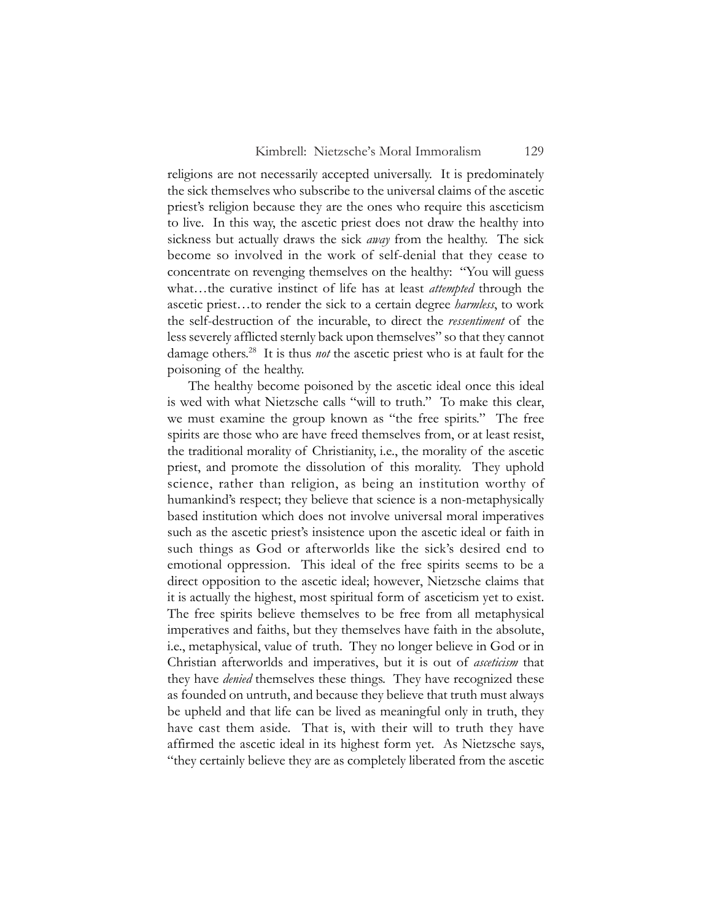religions are not necessarily accepted universally. It is predominately the sick themselves who subscribe to the universal claims of the ascetic priest's religion because they are the ones who require this asceticism to live. In this way, the ascetic priest does not draw the healthy into sickness but actually draws the sick *away* from the healthy. The sick become so involved in the work of self-denial that they cease to concentrate on revenging themselves on the healthy: "You will guess what…the curative instinct of life has at least *attempted* through the ascetic priest…to render the sick to a certain degree *harmless*, to work the self-destruction of the incurable, to direct the *ressentiment* of the less severely afflicted sternly back upon themselves" so that they cannot damage others.28 It is thus *not* the ascetic priest who is at fault for the poisoning of the healthy.

The healthy become poisoned by the ascetic ideal once this ideal is wed with what Nietzsche calls "will to truth." To make this clear, we must examine the group known as "the free spirits." The free spirits are those who are have freed themselves from, or at least resist, the traditional morality of Christianity, i.e., the morality of the ascetic priest, and promote the dissolution of this morality. They uphold science, rather than religion, as being an institution worthy of humankind's respect; they believe that science is a non-metaphysically based institution which does not involve universal moral imperatives such as the ascetic priest's insistence upon the ascetic ideal or faith in such things as God or afterworlds like the sick's desired end to emotional oppression. This ideal of the free spirits seems to be a direct opposition to the ascetic ideal; however, Nietzsche claims that it is actually the highest, most spiritual form of asceticism yet to exist. The free spirits believe themselves to be free from all metaphysical imperatives and faiths, but they themselves have faith in the absolute, i.e., metaphysical, value of truth. They no longer believe in God or in Christian afterworlds and imperatives, but it is out of *asceticism* that they have *denied* themselves these things. They have recognized these as founded on untruth, and because they believe that truth must always be upheld and that life can be lived as meaningful only in truth, they have cast them aside. That is, with their will to truth they have affirmed the ascetic ideal in its highest form yet. As Nietzsche says, "they certainly believe they are as completely liberated from the ascetic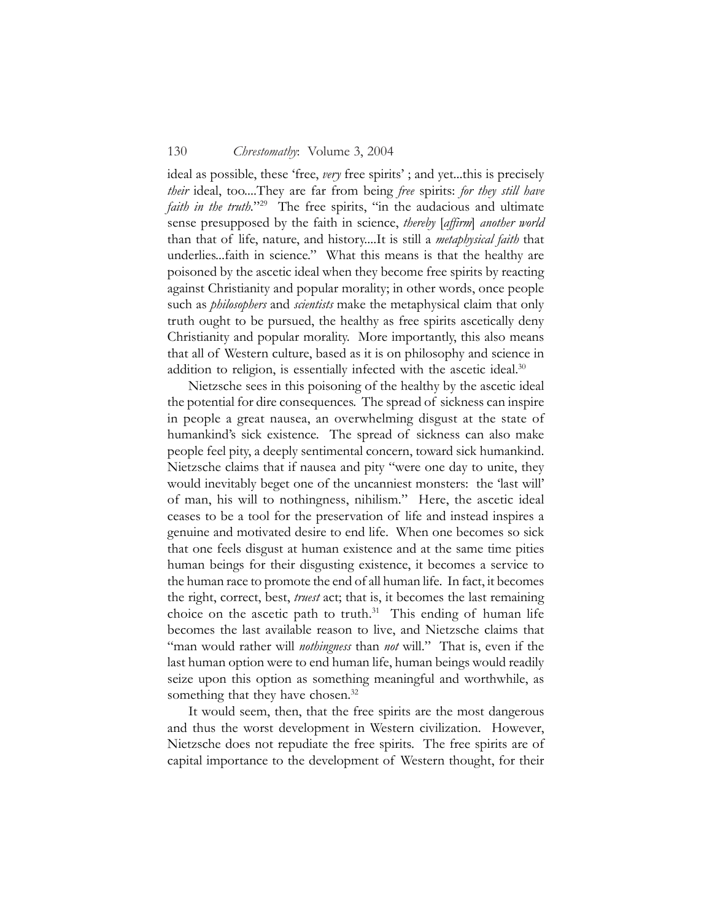ideal as possible, these 'free, *very* free spirits' ; and yet...this is precisely *their* ideal, too....They are far from being *free* spirits: *for they still have faith in the truth*."<sup>29</sup> The free spirits, "in the audacious and ultimate sense presupposed by the faith in science, *thereby* [*affirm*] *another world* than that of life, nature, and history....It is still a *metaphysical faith* that underlies...faith in science." What this means is that the healthy are poisoned by the ascetic ideal when they become free spirits by reacting against Christianity and popular morality; in other words, once people such as *philosophers* and *scientists* make the metaphysical claim that only truth ought to be pursued, the healthy as free spirits ascetically deny Christianity and popular morality. More importantly, this also means that all of Western culture, based as it is on philosophy and science in addition to religion, is essentially infected with the ascetic ideal. $30$ 

Nietzsche sees in this poisoning of the healthy by the ascetic ideal the potential for dire consequences. The spread of sickness can inspire in people a great nausea, an overwhelming disgust at the state of humankind's sick existence. The spread of sickness can also make people feel pity, a deeply sentimental concern, toward sick humankind. Nietzsche claims that if nausea and pity "were one day to unite, they would inevitably beget one of the uncanniest monsters: the 'last will' of man, his will to nothingness, nihilism." Here, the ascetic ideal ceases to be a tool for the preservation of life and instead inspires a genuine and motivated desire to end life. When one becomes so sick that one feels disgust at human existence and at the same time pities human beings for their disgusting existence, it becomes a service to the human race to promote the end of all human life. In fact, it becomes the right, correct, best, *truest* act; that is, it becomes the last remaining choice on the ascetic path to truth. $31$  This ending of human life becomes the last available reason to live, and Nietzsche claims that "man would rather will *nothingness* than *not* will." That is, even if the last human option were to end human life, human beings would readily seize upon this option as something meaningful and worthwhile, as something that they have chosen.<sup>32</sup>

It would seem, then, that the free spirits are the most dangerous and thus the worst development in Western civilization. However, Nietzsche does not repudiate the free spirits. The free spirits are of capital importance to the development of Western thought, for their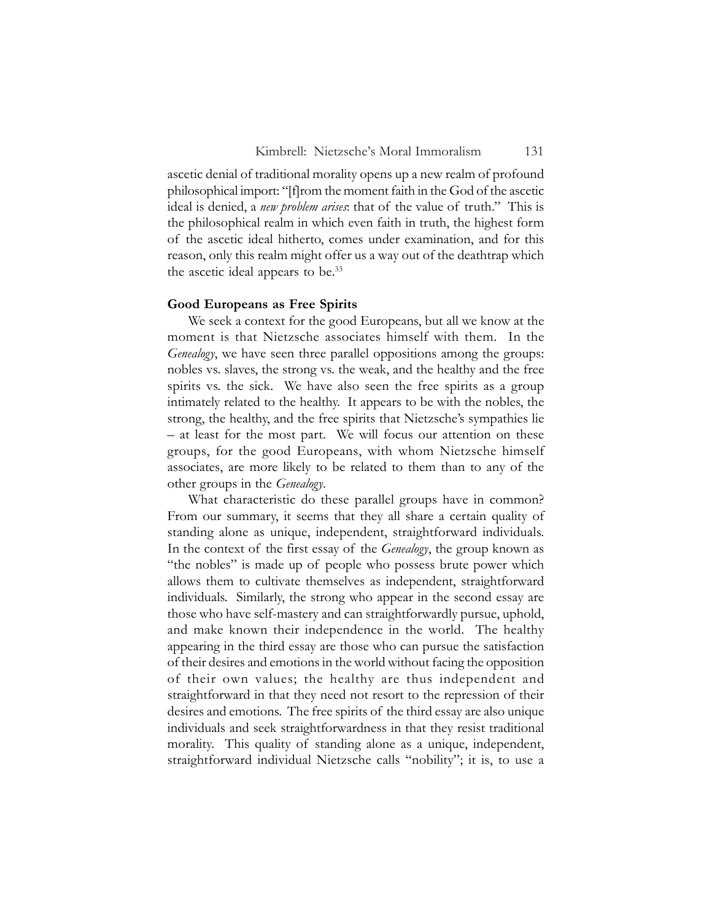ascetic denial of traditional morality opens up a new realm of profound philosophical import: "[f]rom the moment faith in the God of the ascetic ideal is denied, a *new problem arises*: that of the value of truth." This is the philosophical realm in which even faith in truth, the highest form of the ascetic ideal hitherto, comes under examination, and for this reason, only this realm might offer us a way out of the deathtrap which the ascetic ideal appears to be.33

#### **Good Europeans as Free Spirits**

We seek a context for the good Europeans, but all we know at the moment is that Nietzsche associates himself with them. In the *Genealogy*, we have seen three parallel oppositions among the groups: nobles vs. slaves, the strong vs. the weak, and the healthy and the free spirits vs. the sick. We have also seen the free spirits as a group intimately related to the healthy. It appears to be with the nobles, the strong, the healthy, and the free spirits that Nietzsche's sympathies lie – at least for the most part. We will focus our attention on these groups, for the good Europeans, with whom Nietzsche himself associates, are more likely to be related to them than to any of the other groups in the *Genealogy*.

What characteristic do these parallel groups have in common? From our summary, it seems that they all share a certain quality of standing alone as unique, independent, straightforward individuals. In the context of the first essay of the *Genealogy*, the group known as "the nobles" is made up of people who possess brute power which allows them to cultivate themselves as independent, straightforward individuals. Similarly, the strong who appear in the second essay are those who have self-mastery and can straightforwardly pursue, uphold, and make known their independence in the world. The healthy appearing in the third essay are those who can pursue the satisfaction of their desires and emotions in the world without facing the opposition of their own values; the healthy are thus independent and straightforward in that they need not resort to the repression of their desires and emotions. The free spirits of the third essay are also unique individuals and seek straightforwardness in that they resist traditional morality. This quality of standing alone as a unique, independent, straightforward individual Nietzsche calls "nobility"; it is, to use a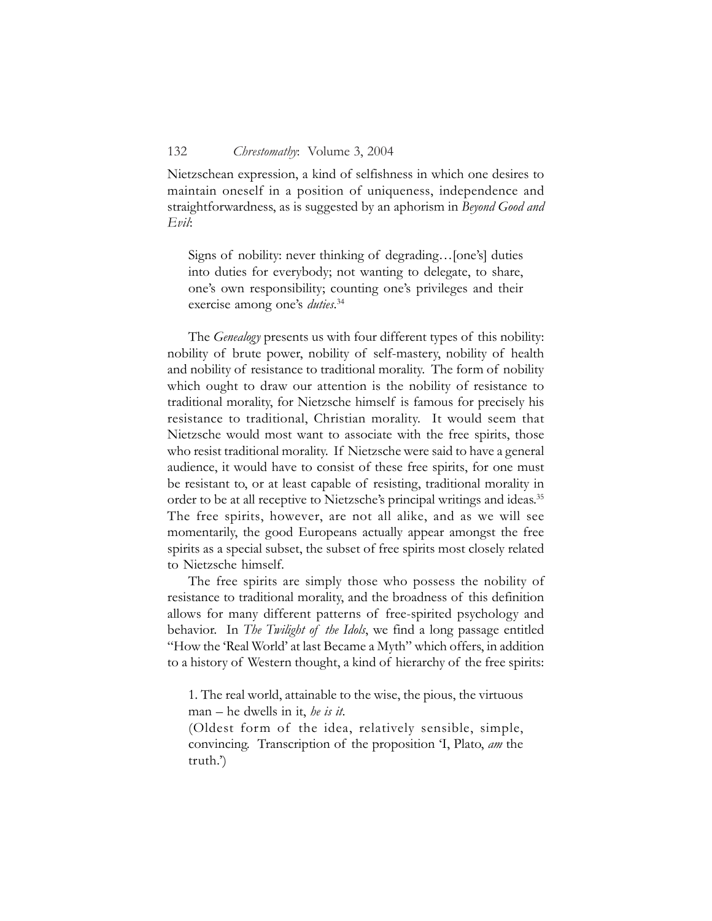Nietzschean expression, a kind of selfishness in which one desires to maintain oneself in a position of uniqueness, independence and straightforwardness, as is suggested by an aphorism in *Beyond Good and Evil*:

Signs of nobility: never thinking of degrading…[one's] duties into duties for everybody; not wanting to delegate, to share, one's own responsibility; counting one's privileges and their exercise among one's *duties*. 34

The *Genealogy* presents us with four different types of this nobility: nobility of brute power, nobility of self-mastery, nobility of health and nobility of resistance to traditional morality. The form of nobility which ought to draw our attention is the nobility of resistance to traditional morality, for Nietzsche himself is famous for precisely his resistance to traditional, Christian morality. It would seem that Nietzsche would most want to associate with the free spirits, those who resist traditional morality. If Nietzsche were said to have a general audience, it would have to consist of these free spirits, for one must be resistant to, or at least capable of resisting, traditional morality in order to be at all receptive to Nietzsche's principal writings and ideas.<sup>35</sup> The free spirits, however, are not all alike, and as we will see momentarily, the good Europeans actually appear amongst the free spirits as a special subset, the subset of free spirits most closely related to Nietzsche himself.

The free spirits are simply those who possess the nobility of resistance to traditional morality, and the broadness of this definition allows for many different patterns of free-spirited psychology and behavior. In *The Twilight of the Idols*, we find a long passage entitled "How the 'Real World' at last Became a Myth" which offers, in addition to a history of Western thought, a kind of hierarchy of the free spirits:

1. The real world, attainable to the wise, the pious, the virtuous man – he dwells in it, *he is it*.

(Oldest form of the idea, relatively sensible, simple, convincing. Transcription of the proposition 'I, Plato, *am* the truth.')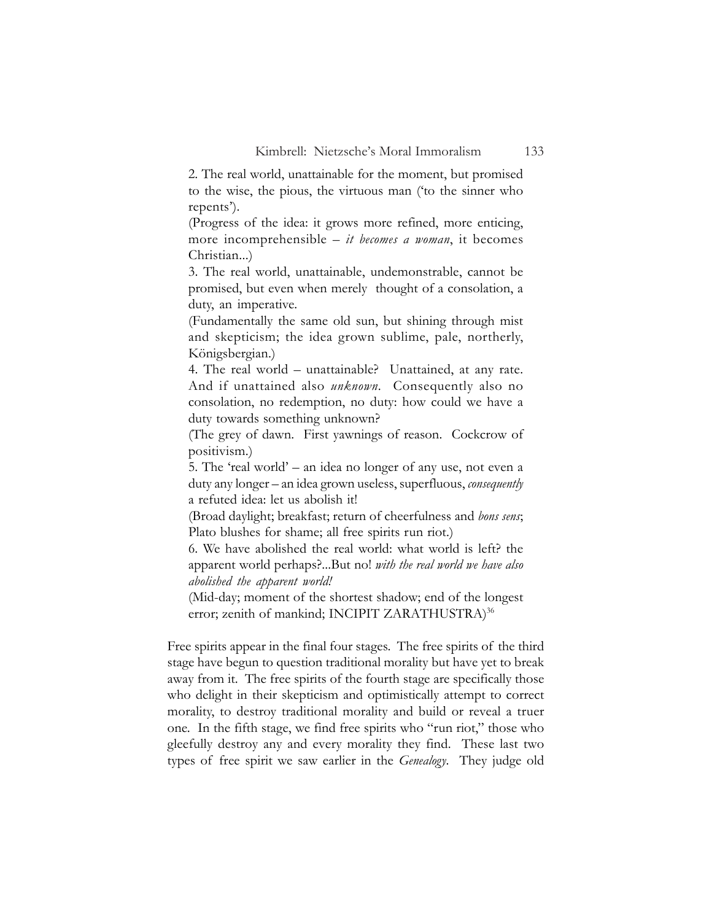2. The real world, unattainable for the moment, but promised to the wise, the pious, the virtuous man ('to the sinner who repents').

(Progress of the idea: it grows more refined, more enticing, more incomprehensible – *it becomes a woman*, it becomes Christian...)

3. The real world, unattainable, undemonstrable, cannot be promised, but even when merely thought of a consolation, a duty, an imperative.

(Fundamentally the same old sun, but shining through mist and skepticism; the idea grown sublime, pale, northerly, Königsbergian.)

4. The real world – unattainable? Unattained, at any rate. And if unattained also *unknown*. Consequently also no consolation, no redemption, no duty: how could we have a duty towards something unknown?

(The grey of dawn. First yawnings of reason. Cockcrow of positivism.)

5. The 'real world' – an idea no longer of any use, not even a duty any longer – an idea grown useless, superfluous, *consequently* a refuted idea: let us abolish it!

(Broad daylight; breakfast; return of cheerfulness and *bons sens*; Plato blushes for shame; all free spirits run riot.)

6. We have abolished the real world: what world is left? the apparent world perhaps?...But no! *with the real world we have also abolished the apparent world!*

(Mid-day; moment of the shortest shadow; end of the longest error; zenith of mankind; INCIPIT ZARATHUSTRA)<sup>36</sup>

Free spirits appear in the final four stages. The free spirits of the third stage have begun to question traditional morality but have yet to break away from it. The free spirits of the fourth stage are specifically those who delight in their skepticism and optimistically attempt to correct morality, to destroy traditional morality and build or reveal a truer one. In the fifth stage, we find free spirits who "run riot," those who gleefully destroy any and every morality they find. These last two types of free spirit we saw earlier in the *Genealogy*. They judge old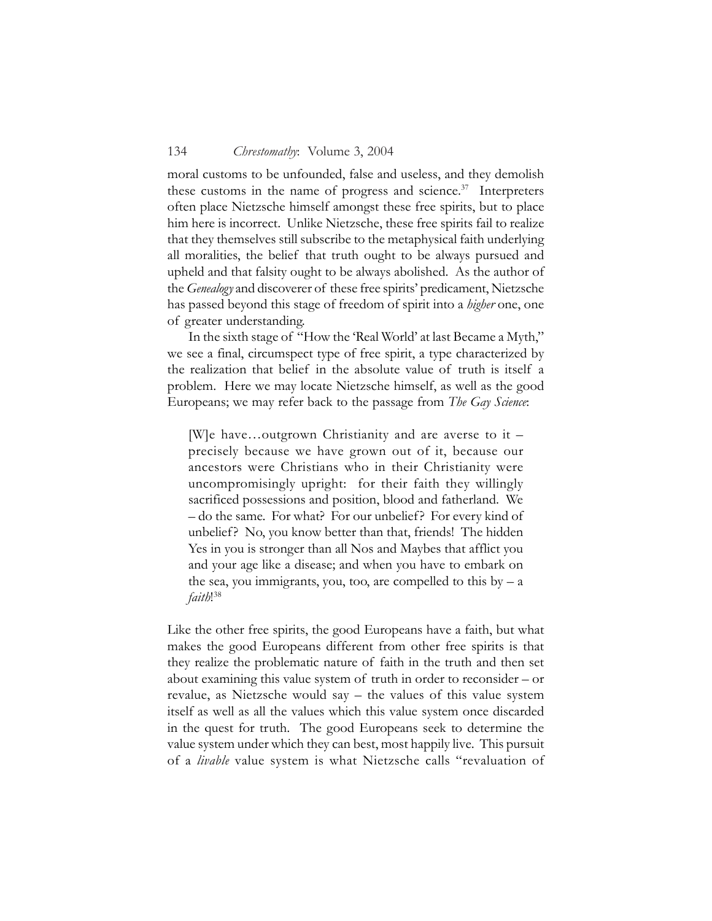moral customs to be unfounded, false and useless, and they demolish these customs in the name of progress and science.<sup>37</sup> Interpreters often place Nietzsche himself amongst these free spirits, but to place him here is incorrect. Unlike Nietzsche, these free spirits fail to realize that they themselves still subscribe to the metaphysical faith underlying all moralities, the belief that truth ought to be always pursued and upheld and that falsity ought to be always abolished. As the author of the *Genealogy* and discoverer of these free spirits' predicament, Nietzsche has passed beyond this stage of freedom of spirit into a *higher* one, one of greater understanding.

In the sixth stage of "How the 'Real World' at last Became a Myth," we see a final, circumspect type of free spirit, a type characterized by the realization that belief in the absolute value of truth is itself a problem. Here we may locate Nietzsche himself, as well as the good Europeans; we may refer back to the passage from *The Gay Science*:

[W]e have…outgrown Christianity and are averse to it – precisely because we have grown out of it, because our ancestors were Christians who in their Christianity were uncompromisingly upright: for their faith they willingly sacrificed possessions and position, blood and fatherland. We – do the same. For what? For our unbelief? For every kind of unbelief? No, you know better than that, friends! The hidden Yes in you is stronger than all Nos and Maybes that afflict you and your age like a disease; and when you have to embark on the sea, you immigrants, you, too, are compelled to this  $by - a$ *faith*! 38

Like the other free spirits, the good Europeans have a faith, but what makes the good Europeans different from other free spirits is that they realize the problematic nature of faith in the truth and then set about examining this value system of truth in order to reconsider – or revalue, as Nietzsche would say – the values of this value system itself as well as all the values which this value system once discarded in the quest for truth. The good Europeans seek to determine the value system under which they can best, most happily live. This pursuit of a *livable* value system is what Nietzsche calls "revaluation of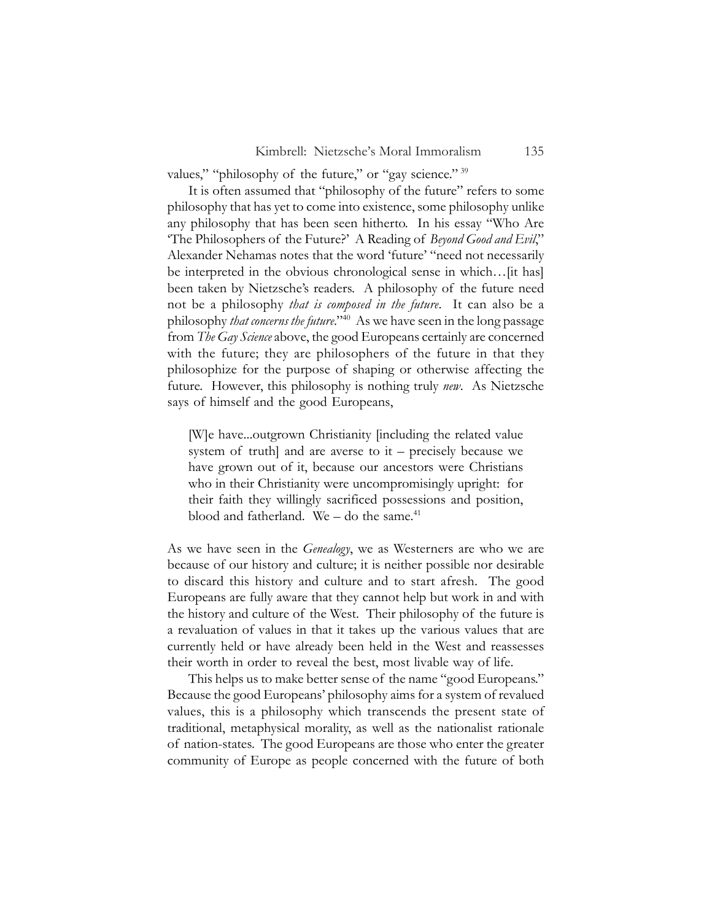values," "philosophy of the future," or "gay science." 39

It is often assumed that "philosophy of the future" refers to some philosophy that has yet to come into existence, some philosophy unlike any philosophy that has been seen hitherto. In his essay "Who Are 'The Philosophers of the Future?' A Reading of *Beyond Good and Evil*," Alexander Nehamas notes that the word 'future' "need not necessarily be interpreted in the obvious chronological sense in which…[it has] been taken by Nietzsche's readers. A philosophy of the future need not be a philosophy *that is composed in the future*. It can also be a philosophy *that concerns the future*."40 As we have seen in the long passage from *The Gay Science* above, the good Europeans certainly are concerned with the future; they are philosophers of the future in that they philosophize for the purpose of shaping or otherwise affecting the future. However, this philosophy is nothing truly *new*. As Nietzsche says of himself and the good Europeans,

[W]e have...outgrown Christianity [including the related value system of truth] and are averse to it – precisely because we have grown out of it, because our ancestors were Christians who in their Christianity were uncompromisingly upright: for their faith they willingly sacrificed possessions and position, blood and fatherland. We – do the same. $41$ 

As we have seen in the *Genealogy*, we as Westerners are who we are because of our history and culture; it is neither possible nor desirable to discard this history and culture and to start afresh. The good Europeans are fully aware that they cannot help but work in and with the history and culture of the West. Their philosophy of the future is a revaluation of values in that it takes up the various values that are currently held or have already been held in the West and reassesses their worth in order to reveal the best, most livable way of life.

This helps us to make better sense of the name "good Europeans." Because the good Europeans' philosophy aims for a system of revalued values, this is a philosophy which transcends the present state of traditional, metaphysical morality, as well as the nationalist rationale of nation-states. The good Europeans are those who enter the greater community of Europe as people concerned with the future of both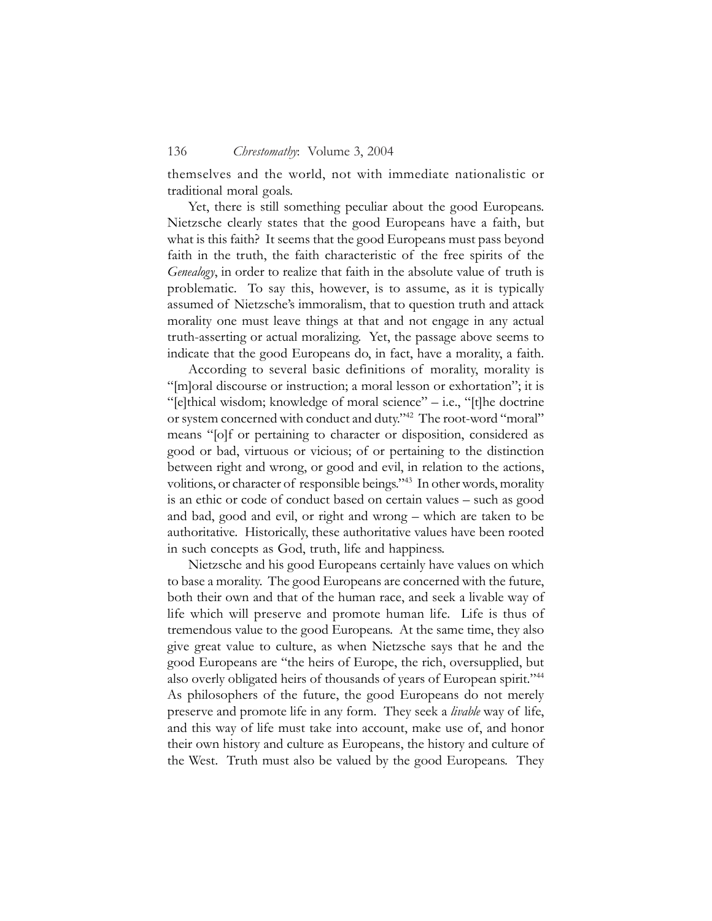themselves and the world, not with immediate nationalistic or traditional moral goals.

Yet, there is still something peculiar about the good Europeans. Nietzsche clearly states that the good Europeans have a faith, but what is this faith? It seems that the good Europeans must pass beyond faith in the truth, the faith characteristic of the free spirits of the *Genealogy*, in order to realize that faith in the absolute value of truth is problematic. To say this, however, is to assume, as it is typically assumed of Nietzsche's immoralism, that to question truth and attack morality one must leave things at that and not engage in any actual truth-asserting or actual moralizing. Yet, the passage above seems to indicate that the good Europeans do, in fact, have a morality, a faith.

According to several basic definitions of morality, morality is "[m]oral discourse or instruction; a moral lesson or exhortation"; it is "[e]thical wisdom; knowledge of moral science" – i.e., "[t]he doctrine or system concerned with conduct and duty."42 The root-word "moral" means "[o]f or pertaining to character or disposition, considered as good or bad, virtuous or vicious; of or pertaining to the distinction between right and wrong, or good and evil, in relation to the actions, volitions, or character of responsible beings."43 In other words, morality is an ethic or code of conduct based on certain values – such as good and bad, good and evil, or right and wrong – which are taken to be authoritative. Historically, these authoritative values have been rooted in such concepts as God, truth, life and happiness.

Nietzsche and his good Europeans certainly have values on which to base a morality. The good Europeans are concerned with the future, both their own and that of the human race, and seek a livable way of life which will preserve and promote human life. Life is thus of tremendous value to the good Europeans. At the same time, they also give great value to culture, as when Nietzsche says that he and the good Europeans are "the heirs of Europe, the rich, oversupplied, but also overly obligated heirs of thousands of years of European spirit."44 As philosophers of the future, the good Europeans do not merely preserve and promote life in any form. They seek a *livable* way of life, and this way of life must take into account, make use of, and honor their own history and culture as Europeans, the history and culture of the West. Truth must also be valued by the good Europeans. They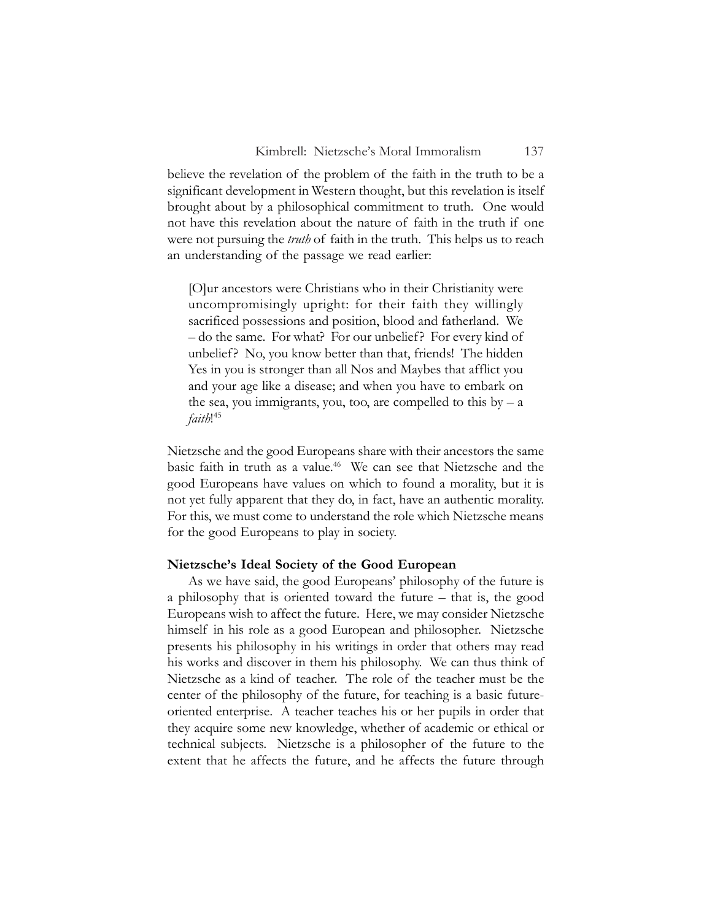believe the revelation of the problem of the faith in the truth to be a significant development in Western thought, but this revelation is itself brought about by a philosophical commitment to truth. One would not have this revelation about the nature of faith in the truth if one were not pursuing the *truth* of faith in the truth. This helps us to reach an understanding of the passage we read earlier:

[O]ur ancestors were Christians who in their Christianity were uncompromisingly upright: for their faith they willingly sacrificed possessions and position, blood and fatherland. We – do the same. For what? For our unbelief? For every kind of unbelief? No, you know better than that, friends! The hidden Yes in you is stronger than all Nos and Maybes that afflict you and your age like a disease; and when you have to embark on the sea, you immigrants, you, too, are compelled to this  $by - a$ *faith*! 45

Nietzsche and the good Europeans share with their ancestors the same basic faith in truth as a value.<sup>46</sup> We can see that Nietzsche and the good Europeans have values on which to found a morality, but it is not yet fully apparent that they do, in fact, have an authentic morality. For this, we must come to understand the role which Nietzsche means for the good Europeans to play in society.

#### **Nietzsche's Ideal Society of the Good European**

As we have said, the good Europeans' philosophy of the future is a philosophy that is oriented toward the future – that is, the good Europeans wish to affect the future. Here, we may consider Nietzsche himself in his role as a good European and philosopher. Nietzsche presents his philosophy in his writings in order that others may read his works and discover in them his philosophy. We can thus think of Nietzsche as a kind of teacher. The role of the teacher must be the center of the philosophy of the future, for teaching is a basic futureoriented enterprise. A teacher teaches his or her pupils in order that they acquire some new knowledge, whether of academic or ethical or technical subjects. Nietzsche is a philosopher of the future to the extent that he affects the future, and he affects the future through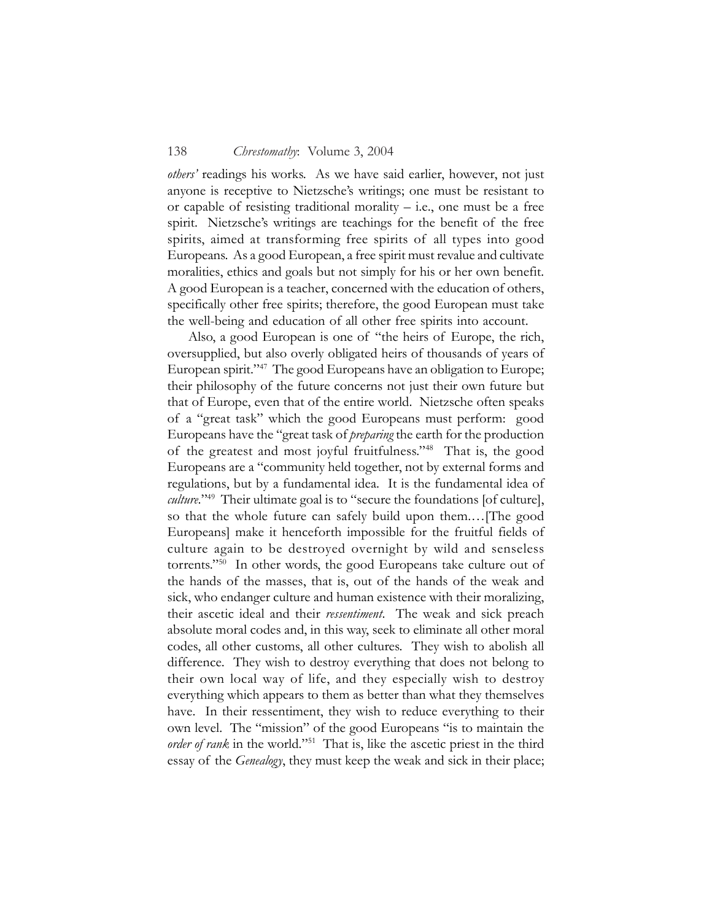*others'* readings his works. As we have said earlier, however, not just anyone is receptive to Nietzsche's writings; one must be resistant to or capable of resisting traditional morality  $-$  i.e., one must be a free spirit. Nietzsche's writings are teachings for the benefit of the free spirits, aimed at transforming free spirits of all types into good Europeans. As a good European, a free spirit must revalue and cultivate moralities, ethics and goals but not simply for his or her own benefit. A good European is a teacher, concerned with the education of others, specifically other free spirits; therefore, the good European must take the well-being and education of all other free spirits into account.

Also, a good European is one of "the heirs of Europe, the rich, oversupplied, but also overly obligated heirs of thousands of years of European spirit."47 The good Europeans have an obligation to Europe; their philosophy of the future concerns not just their own future but that of Europe, even that of the entire world. Nietzsche often speaks of a "great task" which the good Europeans must perform: good Europeans have the "great task of *preparing* the earth for the production of the greatest and most joyful fruitfulness."48 That is, the good Europeans are a "community held together, not by external forms and regulations, but by a fundamental idea. It is the fundamental idea of *culture.*"<sup>49</sup> Their ultimate goal is to "secure the foundations [of culture], so that the whole future can safely build upon them.…[The good Europeans] make it henceforth impossible for the fruitful fields of culture again to be destroyed overnight by wild and senseless torrents."50 In other words, the good Europeans take culture out of the hands of the masses, that is, out of the hands of the weak and sick, who endanger culture and human existence with their moralizing, their ascetic ideal and their *ressentiment*. The weak and sick preach absolute moral codes and, in this way, seek to eliminate all other moral codes, all other customs, all other cultures. They wish to abolish all difference. They wish to destroy everything that does not belong to their own local way of life, and they especially wish to destroy everything which appears to them as better than what they themselves have. In their ressentiment, they wish to reduce everything to their own level. The "mission" of the good Europeans "is to maintain the *order of rank* in the world."<sup>51</sup> That is, like the ascetic priest in the third essay of the *Genealogy*, they must keep the weak and sick in their place;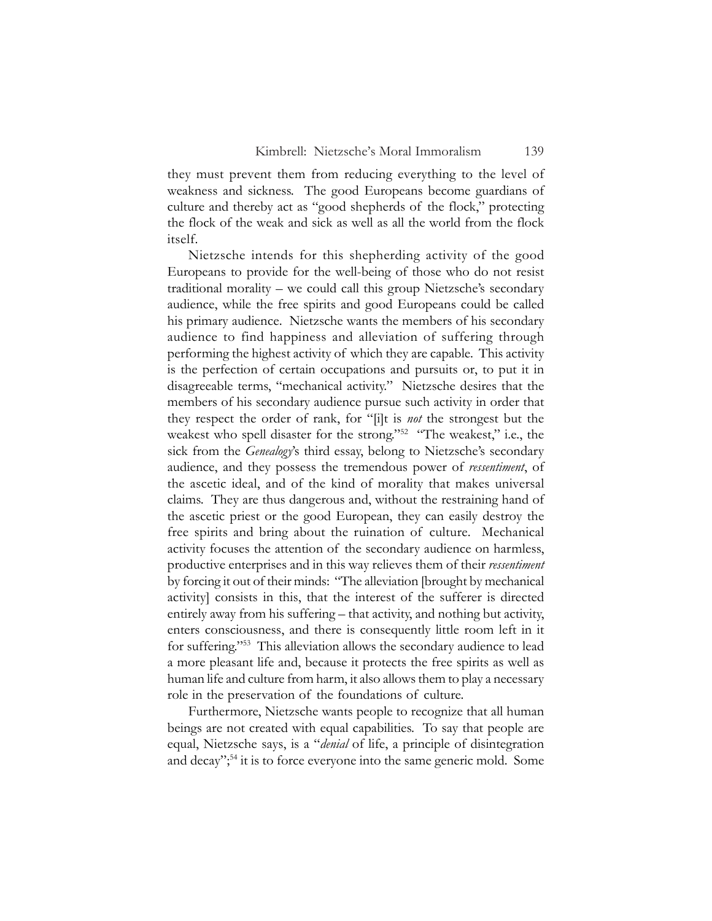they must prevent them from reducing everything to the level of weakness and sickness. The good Europeans become guardians of culture and thereby act as "good shepherds of the flock," protecting the flock of the weak and sick as well as all the world from the flock itself.

Nietzsche intends for this shepherding activity of the good Europeans to provide for the well-being of those who do not resist traditional morality – we could call this group Nietzsche's secondary audience, while the free spirits and good Europeans could be called his primary audience. Nietzsche wants the members of his secondary audience to find happiness and alleviation of suffering through performing the highest activity of which they are capable. This activity is the perfection of certain occupations and pursuits or, to put it in disagreeable terms, "mechanical activity." Nietzsche desires that the members of his secondary audience pursue such activity in order that they respect the order of rank, for "[i]t is *not* the strongest but the weakest who spell disaster for the strong."52 "The weakest," i.e., the sick from the *Genealogy*'s third essay, belong to Nietzsche's secondary audience, and they possess the tremendous power of *ressentiment*, of the ascetic ideal, and of the kind of morality that makes universal claims. They are thus dangerous and, without the restraining hand of the ascetic priest or the good European, they can easily destroy the free spirits and bring about the ruination of culture. Mechanical activity focuses the attention of the secondary audience on harmless, productive enterprises and in this way relieves them of their *ressentiment* by forcing it out of their minds: "The alleviation [brought by mechanical activity] consists in this, that the interest of the sufferer is directed entirely away from his suffering – that activity, and nothing but activity, enters consciousness, and there is consequently little room left in it for suffering."53 This alleviation allows the secondary audience to lead a more pleasant life and, because it protects the free spirits as well as human life and culture from harm, it also allows them to play a necessary role in the preservation of the foundations of culture.

Furthermore, Nietzsche wants people to recognize that all human beings are not created with equal capabilities. To say that people are equal, Nietzsche says, is a "*denial* of life, a principle of disintegration and decay";<sup>54</sup> it is to force everyone into the same generic mold. Some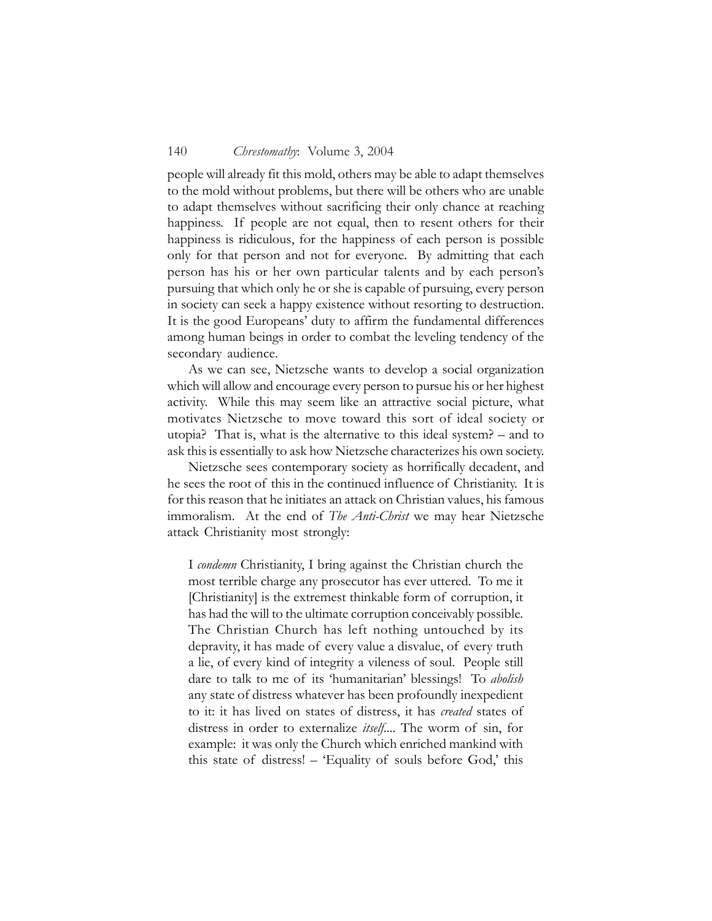people will already fit this mold, others may be able to adapt themselves to the mold without problems, but there will be others who are unable to adapt themselves without sacrificing their only chance at reaching happiness. If people are not equal, then to resent others for their happiness is ridiculous, for the happiness of each person is possible only for that person and not for everyone. By admitting that each person has his or her own particular talents and by each person's pursuing that which only he or she is capable of pursuing, every person in society can seek a happy existence without resorting to destruction. It is the good Europeans' duty to affirm the fundamental differences among human beings in order to combat the leveling tendency of the secondary audience.

As we can see, Nietzsche wants to develop a social organization which will allow and encourage every person to pursue his or her highest activity. While this may seem like an attractive social picture, what motivates Nietzsche to move toward this sort of ideal society or utopia? That is, what is the alternative to this ideal system? – and to ask this is essentially to ask how Nietzsche characterizes his own society.

Nietzsche sees contemporary society as horrifically decadent, and he sees the root of this in the continued influence of Christianity. It is for this reason that he initiates an attack on Christian values, his famous immoralism. At the end of *The Anti-Christ* we may hear Nietzsche attack Christianity most strongly:

I *condemn* Christianity, I bring against the Christian church the most terrible charge any prosecutor has ever uttered. To me it [Christianity] is the extremest thinkable form of corruption, it has had the will to the ultimate corruption conceivably possible. The Christian Church has left nothing untouched by its depravity, it has made of every value a disvalue, of every truth a lie, of every kind of integrity a vileness of soul. People still dare to talk to me of its 'humanitarian' blessings! To *abolish* any state of distress whatever has been profoundly inexpedient to it: it has lived on states of distress, it has *created* states of distress in order to externalize *itself*.... The worm of sin, for example: it was only the Church which enriched mankind with this state of distress! – 'Equality of souls before God,' this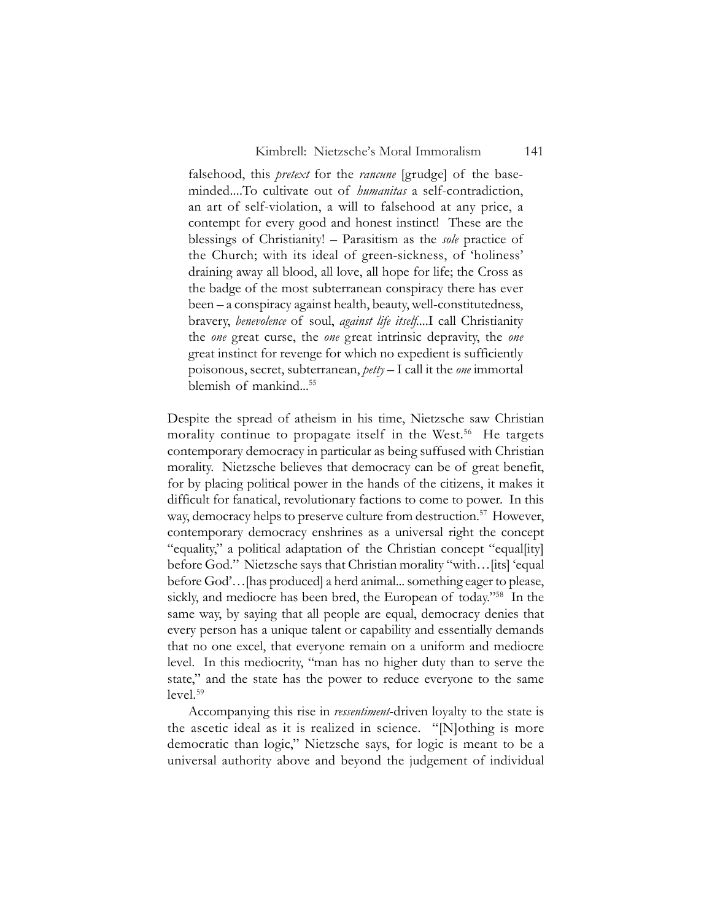falsehood, this *pretext* for the *rancune* [grudge] of the baseminded....To cultivate out of *humanitas* a self-contradiction, an art of self-violation, a will to falsehood at any price, a contempt for every good and honest instinct! These are the blessings of Christianity! – Parasitism as the *sole* practice of the Church; with its ideal of green-sickness, of 'holiness' draining away all blood, all love, all hope for life; the Cross as the badge of the most subterranean conspiracy there has ever been – a conspiracy against health, beauty, well-constitutedness, bravery, *benevolence* of soul, *against life itself*....I call Christianity the *one* great curse, the *one* great intrinsic depravity, the *one* great instinct for revenge for which no expedient is sufficiently poisonous, secret, subterranean, *petty* – I call it the *one* immortal blemish of mankind...<sup>55</sup>

Despite the spread of atheism in his time, Nietzsche saw Christian morality continue to propagate itself in the West.<sup>56</sup> He targets contemporary democracy in particular as being suffused with Christian morality. Nietzsche believes that democracy can be of great benefit, for by placing political power in the hands of the citizens, it makes it difficult for fanatical, revolutionary factions to come to power. In this way, democracy helps to preserve culture from destruction.<sup>57</sup> However, contemporary democracy enshrines as a universal right the concept "equality," a political adaptation of the Christian concept "equal[ity] before God." Nietzsche says that Christian morality "with…[its] 'equal before God'…[has produced] a herd animal... something eager to please, sickly, and mediocre has been bred, the European of today."<sup>58</sup> In the same way, by saying that all people are equal, democracy denies that every person has a unique talent or capability and essentially demands that no one excel, that everyone remain on a uniform and mediocre level. In this mediocrity, "man has no higher duty than to serve the state," and the state has the power to reduce everyone to the same level.59

Accompanying this rise in *ressentiment*-driven loyalty to the state is the ascetic ideal as it is realized in science. "[N]othing is more democratic than logic," Nietzsche says, for logic is meant to be a universal authority above and beyond the judgement of individual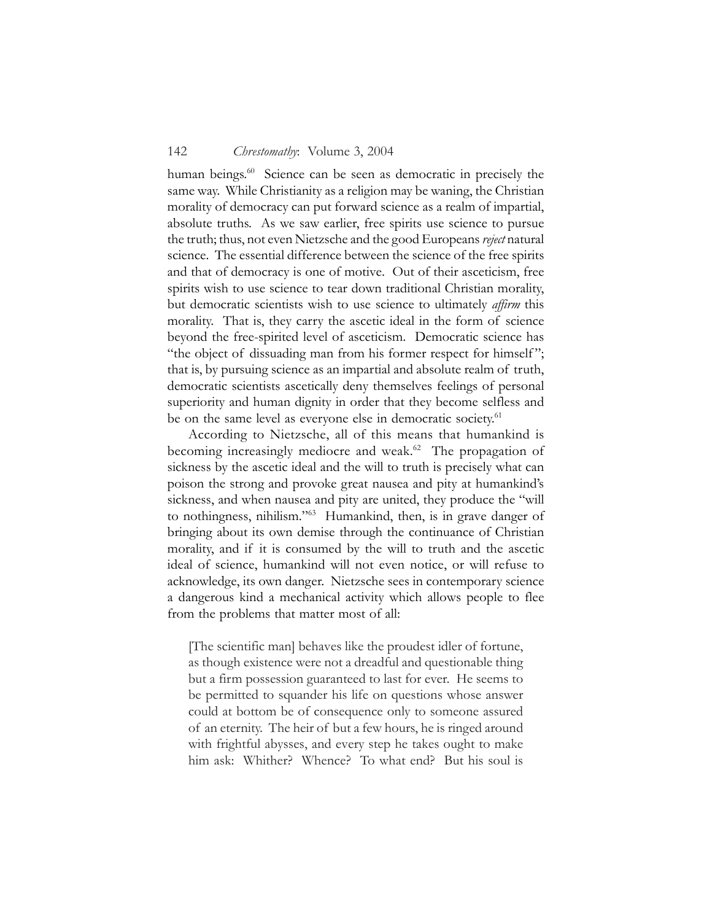human beings.<sup>60</sup> Science can be seen as democratic in precisely the same way. While Christianity as a religion may be waning, the Christian morality of democracy can put forward science as a realm of impartial, absolute truths. As we saw earlier, free spirits use science to pursue the truth; thus, not even Nietzsche and the good Europeans *reject* natural science. The essential difference between the science of the free spirits and that of democracy is one of motive. Out of their asceticism, free spirits wish to use science to tear down traditional Christian morality, but democratic scientists wish to use science to ultimately *affirm* this morality. That is, they carry the ascetic ideal in the form of science beyond the free-spirited level of asceticism. Democratic science has "the object of dissuading man from his former respect for himself "; that is, by pursuing science as an impartial and absolute realm of truth, democratic scientists ascetically deny themselves feelings of personal superiority and human dignity in order that they become selfless and be on the same level as everyone else in democratic society.<sup>61</sup>

According to Nietzsche, all of this means that humankind is becoming increasingly mediocre and weak.<sup>62</sup> The propagation of sickness by the ascetic ideal and the will to truth is precisely what can poison the strong and provoke great nausea and pity at humankind's sickness, and when nausea and pity are united, they produce the "will to nothingness, nihilism."63 Humankind, then, is in grave danger of bringing about its own demise through the continuance of Christian morality, and if it is consumed by the will to truth and the ascetic ideal of science, humankind will not even notice, or will refuse to acknowledge, its own danger. Nietzsche sees in contemporary science a dangerous kind a mechanical activity which allows people to flee from the problems that matter most of all:

[The scientific man] behaves like the proudest idler of fortune, as though existence were not a dreadful and questionable thing but a firm possession guaranteed to last for ever. He seems to be permitted to squander his life on questions whose answer could at bottom be of consequence only to someone assured of an eternity. The heir of but a few hours, he is ringed around with frightful abysses, and every step he takes ought to make him ask: Whither? Whence? To what end? But his soul is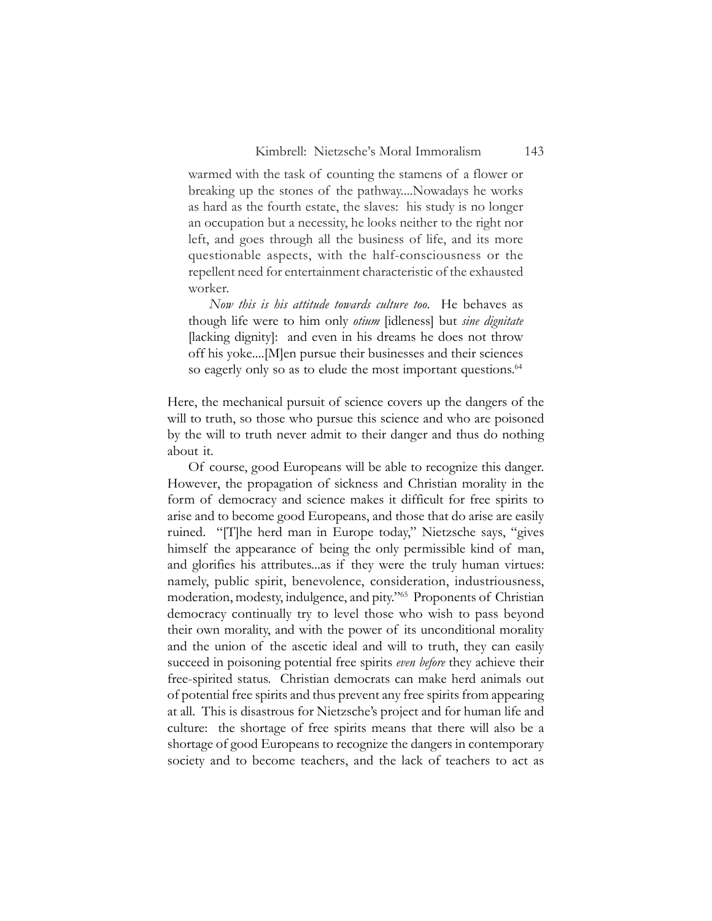warmed with the task of counting the stamens of a flower or breaking up the stones of the pathway....Nowadays he works as hard as the fourth estate, the slaves: his study is no longer an occupation but a necessity, he looks neither to the right nor left, and goes through all the business of life, and its more questionable aspects, with the half-consciousness or the repellent need for entertainment characteristic of the exhausted worker.

*Now this is his attitude towards culture too*. He behaves as though life were to him only *otium* [idleness] but *sine dignitate* [lacking dignity]: and even in his dreams he does not throw off his yoke....[M]en pursue their businesses and their sciences so eagerly only so as to elude the most important questions.<sup>64</sup>

Here, the mechanical pursuit of science covers up the dangers of the will to truth, so those who pursue this science and who are poisoned by the will to truth never admit to their danger and thus do nothing about it.

Of course, good Europeans will be able to recognize this danger. However, the propagation of sickness and Christian morality in the form of democracy and science makes it difficult for free spirits to arise and to become good Europeans, and those that do arise are easily ruined. "[T]he herd man in Europe today," Nietzsche says, "gives himself the appearance of being the only permissible kind of man, and glorifies his attributes...as if they were the truly human virtues: namely, public spirit, benevolence, consideration, industriousness, moderation, modesty, indulgence, and pity."65 Proponents of Christian democracy continually try to level those who wish to pass beyond their own morality, and with the power of its unconditional morality and the union of the ascetic ideal and will to truth, they can easily succeed in poisoning potential free spirits *even before* they achieve their free-spirited status. Christian democrats can make herd animals out of potential free spirits and thus prevent any free spirits from appearing at all. This is disastrous for Nietzsche's project and for human life and culture: the shortage of free spirits means that there will also be a shortage of good Europeans to recognize the dangers in contemporary society and to become teachers, and the lack of teachers to act as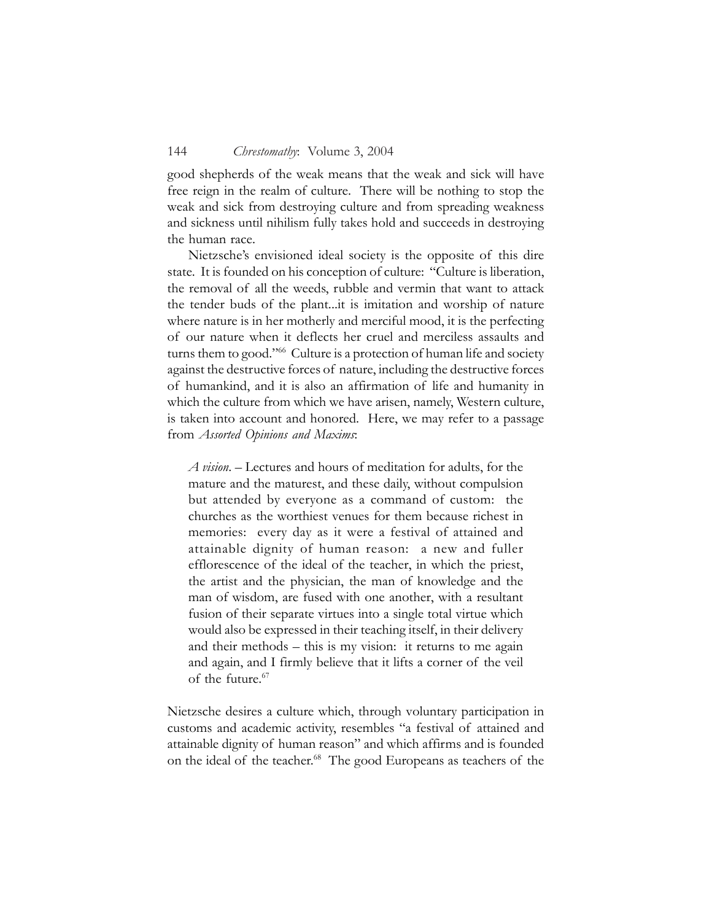good shepherds of the weak means that the weak and sick will have free reign in the realm of culture. There will be nothing to stop the weak and sick from destroying culture and from spreading weakness and sickness until nihilism fully takes hold and succeeds in destroying the human race.

Nietzsche's envisioned ideal society is the opposite of this dire state. It is founded on his conception of culture: "Culture is liberation, the removal of all the weeds, rubble and vermin that want to attack the tender buds of the plant...it is imitation and worship of nature where nature is in her motherly and merciful mood, it is the perfecting of our nature when it deflects her cruel and merciless assaults and turns them to good."<sup>66</sup> Culture is a protection of human life and society against the destructive forces of nature, including the destructive forces of humankind, and it is also an affirmation of life and humanity in which the culture from which we have arisen, namely, Western culture, is taken into account and honored. Here, we may refer to a passage from *Assorted Opinions and Maxims*:

*A vision*. – Lectures and hours of meditation for adults, for the mature and the maturest, and these daily, without compulsion but attended by everyone as a command of custom: the churches as the worthiest venues for them because richest in memories: every day as it were a festival of attained and attainable dignity of human reason: a new and fuller efflorescence of the ideal of the teacher, in which the priest, the artist and the physician, the man of knowledge and the man of wisdom, are fused with one another, with a resultant fusion of their separate virtues into a single total virtue which would also be expressed in their teaching itself, in their delivery and their methods – this is my vision: it returns to me again and again, and I firmly believe that it lifts a corner of the veil of the future.67

Nietzsche desires a culture which, through voluntary participation in customs and academic activity, resembles "a festival of attained and attainable dignity of human reason" and which affirms and is founded on the ideal of the teacher.<sup>68</sup> The good Europeans as teachers of the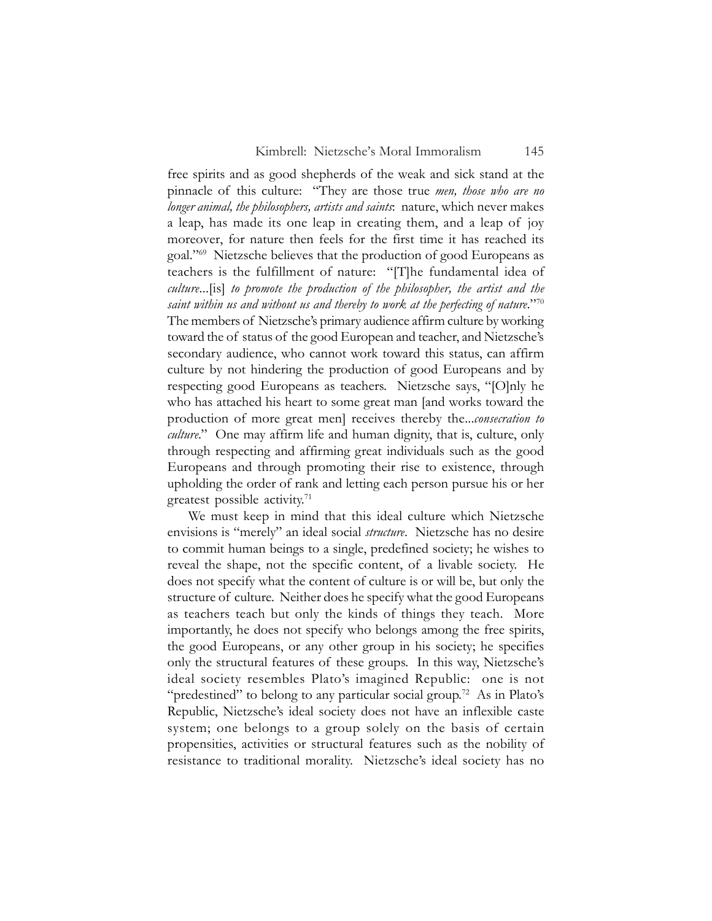free spirits and as good shepherds of the weak and sick stand at the pinnacle of this culture: "They are those true *men, those who are no longer animal, the philosophers, artists and saints*: nature, which never makes a leap, has made its one leap in creating them, and a leap of joy moreover, for nature then feels for the first time it has reached its goal."69 Nietzsche believes that the production of good Europeans as teachers is the fulfillment of nature: "[T]he fundamental idea of *culture*...[is] *to promote the production of the philosopher, the artist and the saint within us and without us and thereby to work at the perfecting of nature*."70 The members of Nietzsche's primary audience affirm culture by working toward the of status of the good European and teacher, and Nietzsche's secondary audience, who cannot work toward this status, can affirm culture by not hindering the production of good Europeans and by respecting good Europeans as teachers. Nietzsche says, "[O]nly he who has attached his heart to some great man [and works toward the production of more great men] receives thereby the...*consecration to culture*." One may affirm life and human dignity, that is, culture, only through respecting and affirming great individuals such as the good Europeans and through promoting their rise to existence, through upholding the order of rank and letting each person pursue his or her greatest possible activity.<sup>71</sup>

We must keep in mind that this ideal culture which Nietzsche envisions is "merely" an ideal social *structure*. Nietzsche has no desire to commit human beings to a single, predefined society; he wishes to reveal the shape, not the specific content, of a livable society. He does not specify what the content of culture is or will be, but only the structure of culture. Neither does he specify what the good Europeans as teachers teach but only the kinds of things they teach. More importantly, he does not specify who belongs among the free spirits, the good Europeans, or any other group in his society; he specifies only the structural features of these groups. In this way, Nietzsche's ideal society resembles Plato's imagined Republic: one is not "predestined" to belong to any particular social group.<sup>72</sup> As in Plato's Republic, Nietzsche's ideal society does not have an inflexible caste system; one belongs to a group solely on the basis of certain propensities, activities or structural features such as the nobility of resistance to traditional morality. Nietzsche's ideal society has no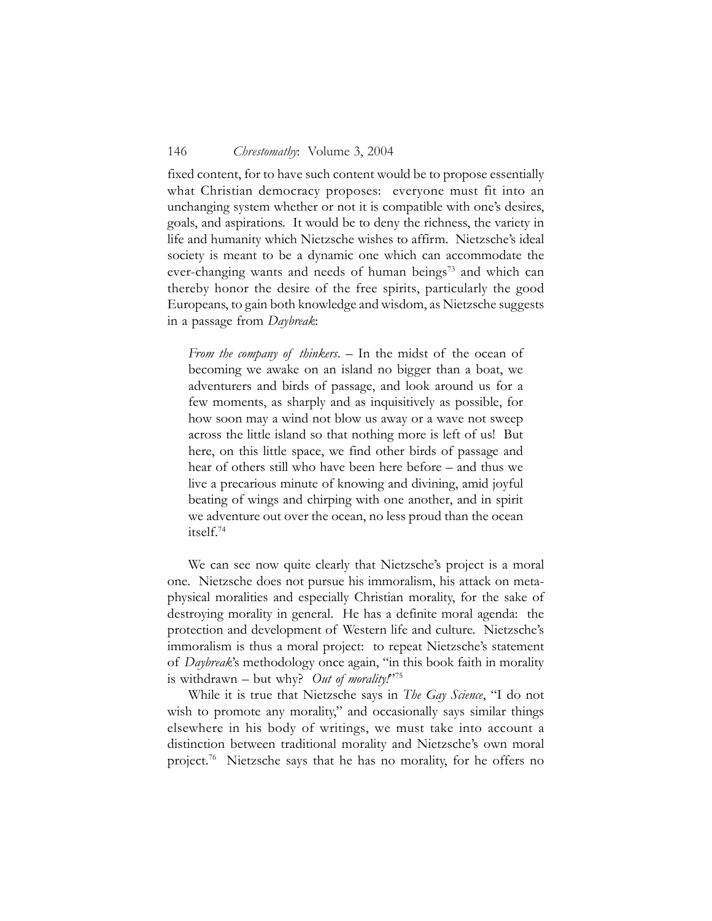fixed content, for to have such content would be to propose essentially what Christian democracy proposes: everyone must fit into an unchanging system whether or not it is compatible with one's desires, goals, and aspirations. It would be to deny the richness, the variety in life and humanity which Nietzsche wishes to affirm. Nietzsche's ideal society is meant to be a dynamic one which can accommodate the ever-changing wants and needs of human beings $73$  and which can thereby honor the desire of the free spirits, particularly the good Europeans, to gain both knowledge and wisdom, as Nietzsche suggests in a passage from *Daybreak*:

*From the company of thinkers*. – In the midst of the ocean of becoming we awake on an island no bigger than a boat, we adventurers and birds of passage, and look around us for a few moments, as sharply and as inquisitively as possible, for how soon may a wind not blow us away or a wave not sweep across the little island so that nothing more is left of us! But here, on this little space, we find other birds of passage and hear of others still who have been here before – and thus we live a precarious minute of knowing and divining, amid joyful beating of wings and chirping with one another, and in spirit we adventure out over the ocean, no less proud than the ocean itself.74

We can see now quite clearly that Nietzsche's project is a moral one. Nietzsche does not pursue his immoralism, his attack on metaphysical moralities and especially Christian morality, for the sake of destroying morality in general. He has a definite moral agenda: the protection and development of Western life and culture. Nietzsche's immoralism is thus a moral project: to repeat Nietzsche's statement of *Daybreak*'s methodology once again, "in this book faith in morality is withdrawn – but why? *Out of morality!*"75

While it is true that Nietzsche says in *The Gay Science*, "I do not wish to promote any morality," and occasionally says similar things elsewhere in his body of writings, we must take into account a distinction between traditional morality and Nietzsche's own moral project.76 Nietzsche says that he has no morality, for he offers no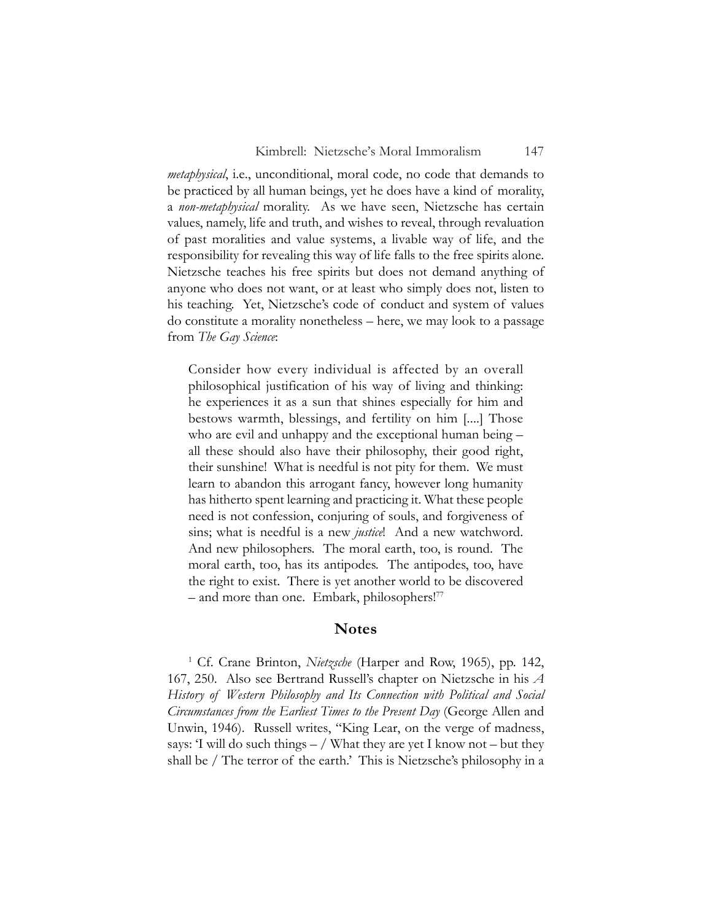*metaphysical*, i.e., unconditional, moral code, no code that demands to be practiced by all human beings, yet he does have a kind of morality, a *non-metaphysical* morality. As we have seen, Nietzsche has certain values, namely, life and truth, and wishes to reveal, through revaluation of past moralities and value systems, a livable way of life, and the responsibility for revealing this way of life falls to the free spirits alone. Nietzsche teaches his free spirits but does not demand anything of anyone who does not want, or at least who simply does not, listen to his teaching. Yet, Nietzsche's code of conduct and system of values do constitute a morality nonetheless – here, we may look to a passage from *The Gay Science*:

Consider how every individual is affected by an overall philosophical justification of his way of living and thinking: he experiences it as a sun that shines especially for him and bestows warmth, blessings, and fertility on him [....] Those who are evil and unhappy and the exceptional human being – all these should also have their philosophy, their good right, their sunshine! What is needful is not pity for them. We must learn to abandon this arrogant fancy, however long humanity has hitherto spent learning and practicing it. What these people need is not confession, conjuring of souls, and forgiveness of sins; what is needful is a new *justice*! And a new watchword. And new philosophers. The moral earth, too, is round. The moral earth, too, has its antipodes. The antipodes, too, have the right to exist. There is yet another world to be discovered – and more than one. Embark, philosophers!<sup>77</sup>

## **Notes**

<sup>1</sup> Cf. Crane Brinton, *Nietzsche* (Harper and Row, 1965), pp. 142, 167, 250. Also see Bertrand Russell's chapter on Nietzsche in his *A History of Western Philosophy and Its Connection with Political and Social Circumstances from the Earliest Times to the Present Day* (George Allen and Unwin, 1946). Russell writes, "King Lear, on the verge of madness, says: 'I will do such things  $-$  / What they are yet I know not – but they shall be / The terror of the earth.' This is Nietzsche's philosophy in a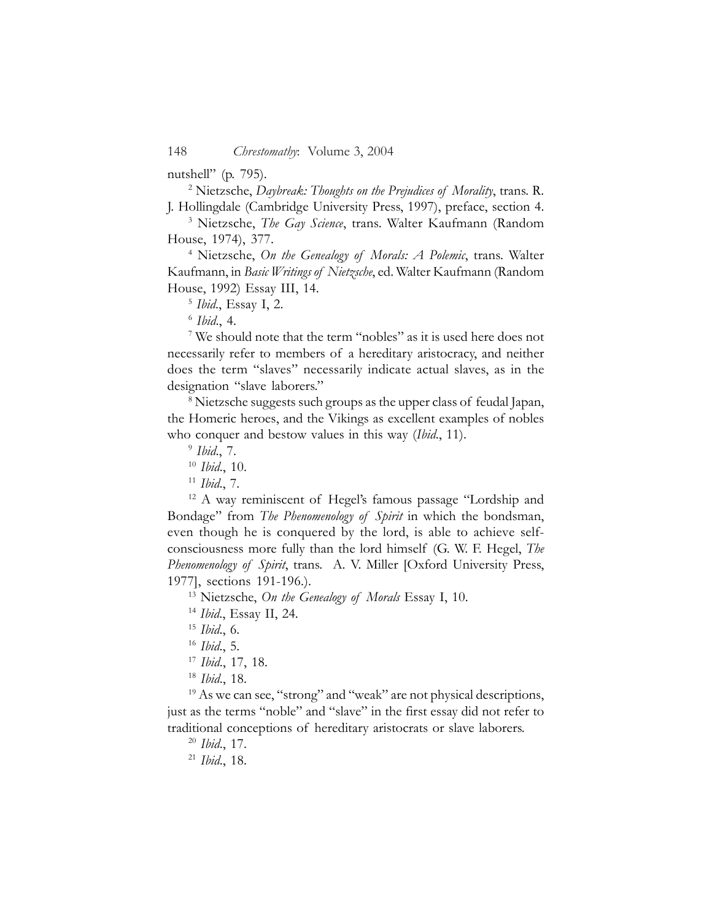nutshell" (p. 795).

2 Nietzsche, *Daybreak: Thoughts on the Prejudices of Morality*, trans. R. J. Hollingdale (Cambridge University Press, 1997), preface, section 4.

3 Nietzsche, *The Gay Science*, trans. Walter Kaufmann (Random House, 1974), 377.

4 Nietzsche, *On the Genealogy of Morals: A Polemic*, trans. Walter Kaufmann, in *Basic Writings of Nietzsche*, ed. Walter Kaufmann (Random House, 1992) Essay III, 14.

<sup>5</sup> *Ibid*., Essay I, 2.

<sup>6</sup> *Ibid*., 4.

7 We should note that the term "nobles" as it is used here does not necessarily refer to members of a hereditary aristocracy, and neither does the term "slaves" necessarily indicate actual slaves, as in the designation "slave laborers."

<sup>8</sup> Nietzsche suggests such groups as the upper class of feudal Japan, the Homeric heroes, and the Vikings as excellent examples of nobles who conquer and bestow values in this way (*Ibid*., 11).

<sup>9</sup> *Ibid*., 7.

<sup>10</sup> *Ibid*., 10.

<sup>11</sup> *Ibid*., 7.

<sup>12</sup> A way reminiscent of Hegel's famous passage "Lordship and Bondage" from *The Phenomenology of Spirit* in which the bondsman, even though he is conquered by the lord, is able to achieve selfconsciousness more fully than the lord himself (G. W. F. Hegel, *The Phenomenology of Spirit*, trans. A. V. Miller [Oxford University Press, 1977], sections 191-196.).

13 Nietzsche, *On the Genealogy of Morals* Essay I, 10.

<sup>14</sup> *Ibid*., Essay II, 24.

<sup>15</sup> *Ibid*., 6.

<sup>16</sup> *Ibid*., 5.

<sup>17</sup> *Ibid*., 17, 18.

<sup>18</sup> *Ibid*., 18.

<sup>19</sup> As we can see, "strong" and "weak" are not physical descriptions, just as the terms "noble" and "slave" in the first essay did not refer to traditional conceptions of hereditary aristocrats or slave laborers.

<sup>20</sup> *Ibid*., 17.

<sup>21</sup> *Ibid*., 18.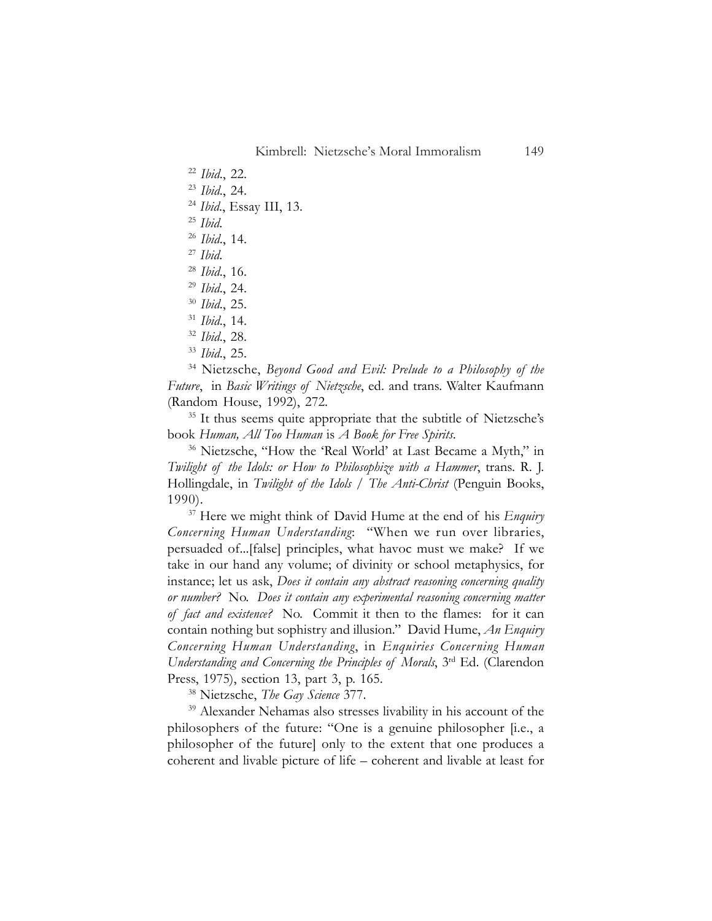*Ibid*., 22. *Ibid*., 24. *Ibid*., Essay III, 13. <sup>25</sup> *Ibid*. *Ibid*., 14. <sup>27</sup> *Ibid*. *Ibid*., 16. *Ibid*., 24. *Ibid*., 25. *Ibid*., 14. *Ibid*., 28. *Ibid*., 25. 34 Nietzsche, *Beyond Good and Evil: Prelude to a Philosophy of the Future*, in *Basic Writings of Nietzsche*, ed. and trans. Walter Kaufmann (Random House, 1992), 272.

<sup>35</sup> It thus seems quite appropriate that the subtitle of Nietzsche's book *Human, All Too Human* is *A Book for Free Spirits*.

36 Nietzsche, "How the 'Real World' at Last Became a Myth," in *Twilight of the Idols: or How to Philosophize with a Hammer*, trans. R. J. Hollingdale, in *Twilight of the Idols / The Anti-Christ* (Penguin Books, 1990).

37 Here we might think of David Hume at the end of his *Enquiry Concerning Human Understanding*: "When we run over libraries, persuaded of...[false] principles, what havoc must we make? If we take in our hand any volume; of divinity or school metaphysics, for instance; let us ask, *Does it contain any abstract reasoning concerning quality or number?* No. *Does it contain any experimental reasoning concerning matter of fact and existence?* No. Commit it then to the flames: for it can contain nothing but sophistry and illusion." David Hume, *An Enquiry Concerning Human Understanding*, in *Enquiries Concerning Human Understanding and Concerning the Principles of Morals*, 3rd Ed. (Clarendon Press, 1975), section 13, part 3, p. 165.

38 Nietzsche, *The Gay Science* 377.

<sup>39</sup> Alexander Nehamas also stresses livability in his account of the philosophers of the future: "One is a genuine philosopher [i.e., a philosopher of the future] only to the extent that one produces a coherent and livable picture of life – coherent and livable at least for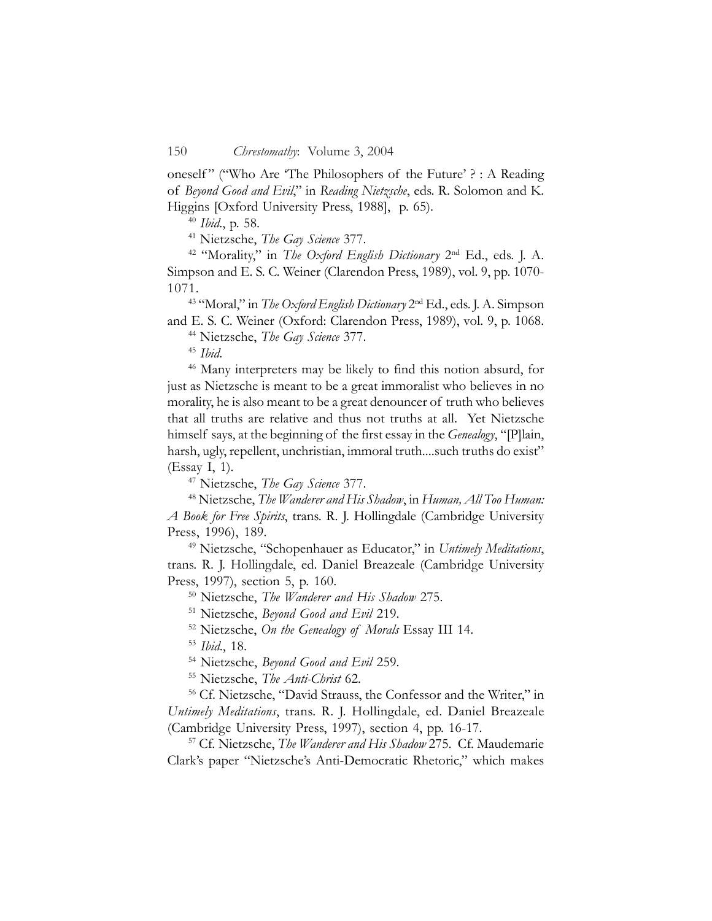oneself" ("Who Are 'The Philosophers of the Future' ? : A Reading of *Beyond Good and Evil*," in *Reading Nietzsche*, eds. R. Solomon and K. Higgins [Oxford University Press, 1988], p. 65).

<sup>40</sup> *Ibid*., p. 58.

41 Nietzsche, *The Gay Science* 377.

42 "Morality," in *The Oxford English Dictionary* 2nd Ed., eds. J. A. Simpson and E. S. C. Weiner (Clarendon Press, 1989), vol. 9, pp. 1070- 1071.

43 "Moral," in *The Oxford English Dictionary* 2nd Ed., eds. J. A. Simpson and E. S. C. Weiner (Oxford: Clarendon Press, 1989), vol. 9, p. 1068.

44 Nietzsche, *The Gay Science* 377.

<sup>45</sup> *Ibid*.

46 Many interpreters may be likely to find this notion absurd, for just as Nietzsche is meant to be a great immoralist who believes in no morality, he is also meant to be a great denouncer of truth who believes that all truths are relative and thus not truths at all. Yet Nietzsche himself says, at the beginning of the first essay in the *Genealogy*, "[P]lain, harsh, ugly, repellent, unchristian, immoral truth....such truths do exist" (Essay I, 1).

47 Nietzsche, *The Gay Science* 377.

48 Nietzsche, *The Wanderer and His Shadow*, in *Human, All Too Human: A Book for Free Spirits*, trans. R. J. Hollingdale (Cambridge University Press, 1996), 189.

49 Nietzsche, "Schopenhauer as Educator," in *Untimely Meditations*, trans. R. J. Hollingdale, ed. Daniel Breazeale (Cambridge University Press, 1997), section 5, p. 160.

50 Nietzsche, *The Wanderer and His Shadow* 275.

51 Nietzsche, *Beyond Good and Evil* 219.

52 Nietzsche, *On the Genealogy of Morals* Essay III 14.

<sup>53</sup> *Ibid*., 18.

54 Nietzsche, *Beyond Good and Evil* 259.

55 Nietzsche, *The Anti-Christ* 62.

56 Cf. Nietzsche, "David Strauss, the Confessor and the Writer," in *Untimely Meditations*, trans. R. J. Hollingdale, ed. Daniel Breazeale (Cambridge University Press, 1997), section 4, pp. 16-17.

57 Cf. Nietzsche, *The Wanderer and His Shadow* 275. Cf. Maudemarie Clark's paper "Nietzsche's Anti-Democratic Rhetoric," which makes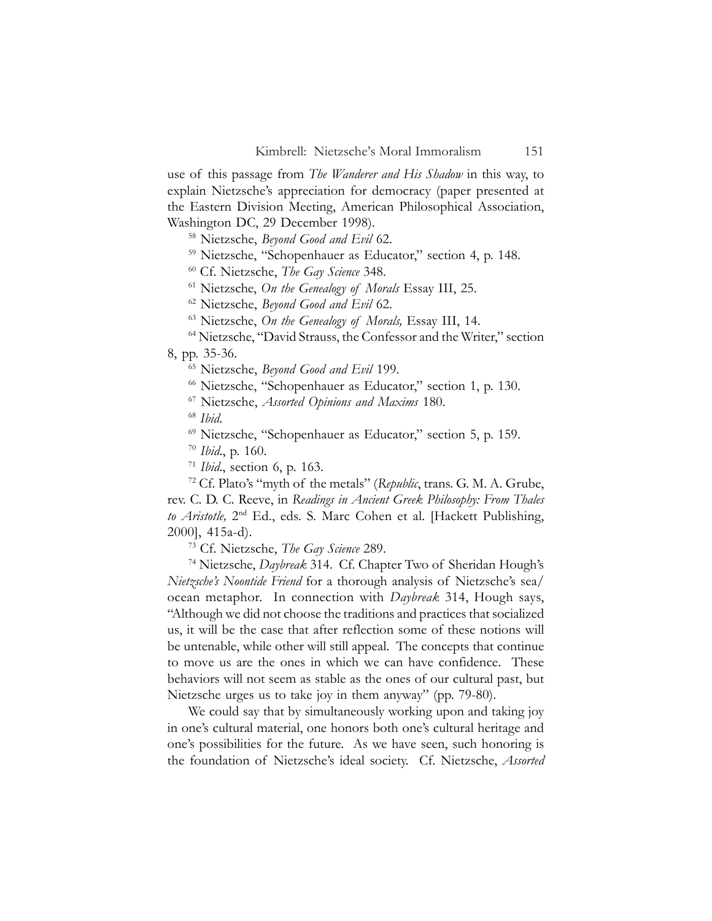use of this passage from *The Wanderer and His Shadow* in this way, to explain Nietzsche's appreciation for democracy (paper presented at the Eastern Division Meeting, American Philosophical Association, Washington DC, 29 December 1998).

58 Nietzsche, *Beyond Good and Evil* 62.

59 Nietzsche, "Schopenhauer as Educator," section 4, p. 148.

60 Cf. Nietzsche, *The Gay Science* 348.

61 Nietzsche, *On the Genealogy of Morals* Essay III, 25.

62 Nietzsche, *Beyond Good and Evil* 62.

63 Nietzsche, *On the Genealogy of Morals,* Essay III, 14.

64 Nietzsche, "David Strauss, the Confessor and the Writer," section 8, pp. 35-36.

65 Nietzsche, *Beyond Good and Evil* 199.

66 Nietzsche, "Schopenhauer as Educator," section 1, p. 130.

67 Nietzsche, *Assorted Opinions and Maxims* 180.

<sup>68</sup> *Ibid*.

69 Nietzsche, "Schopenhauer as Educator," section 5, p. 159.

<sup>70</sup> *Ibid*., p. 160.

<sup>71</sup> *Ibid*., section 6, p. 163.

72 Cf. Plato's "myth of the metals" (*Republic*, trans. G. M. A. Grube, rev. C. D. C. Reeve, in *Readings in Ancient Greek Philosophy: From Thales to Aristotle,* 2nd Ed., eds. S. Marc Cohen et al. [Hackett Publishing, 2000], 415a-d).

73 Cf. Nietzsche, *The Gay Science* 289.

74 Nietzsche, *Daybreak* 314. Cf. Chapter Two of Sheridan Hough's *Nietzsche's Noontide Friend* for a thorough analysis of Nietzsche's sea/ ocean metaphor. In connection with *Daybreak* 314, Hough says, "Although we did not choose the traditions and practices that socialized us, it will be the case that after reflection some of these notions will be untenable, while other will still appeal. The concepts that continue to move us are the ones in which we can have confidence. These behaviors will not seem as stable as the ones of our cultural past, but Nietzsche urges us to take joy in them anyway" (pp. 79-80).

We could say that by simultaneously working upon and taking joy in one's cultural material, one honors both one's cultural heritage and one's possibilities for the future. As we have seen, such honoring is the foundation of Nietzsche's ideal society. Cf. Nietzsche, *Assorted*